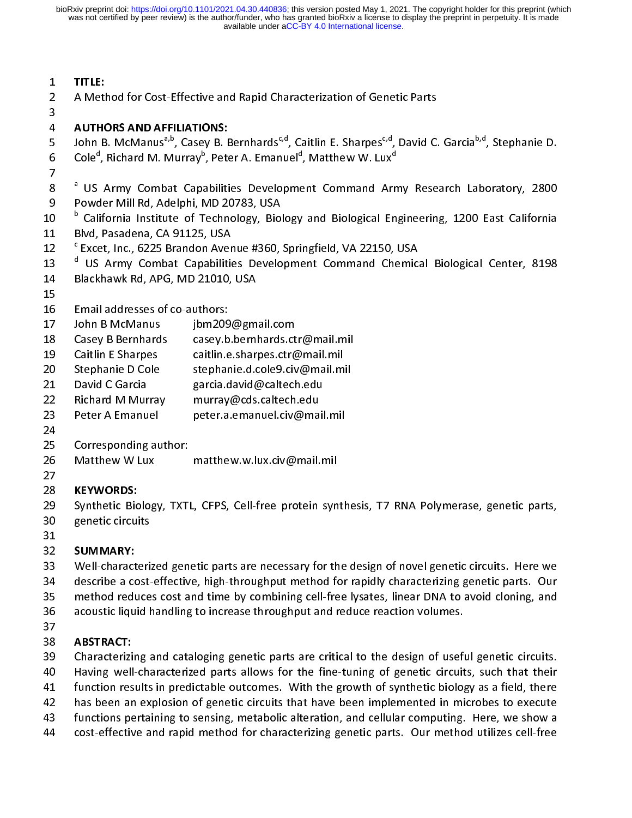- 1 TITLE:<br>2 A Method for Cost-Effective and Rapid Characterization of Genetic Parts<br>3 **AUTHORS AND AFFILIATIONS:**
- 

- 3<br>4<br>5<br>6<br>6 4 **AUTHORS AND AFFILIATIONS:**<br>5 John B. McManus<sup>a,b</sup>, Casey B. Bernhards<sup>c,d</sup>, Caitlin E. Sharpes<sup>c,d</sup>, David C. Garcia<sup>b,d</sup>, Stephanie D.<br>6 Cole<sup>d</sup>, Richard M. Murray<sup>b</sup>, Peter A. Emanuel<sup>d</sup>, Matthew W. Lux<sup>d</sup><br>7
- Cole<sup>d</sup>, Richard M. Murray<sup>b</sup>, Peter A. Emanuel<sup>d</sup>, Matthew W. Lux<sup>d</sup>
- 
- 6 Cole", Richard M. Murray", Peter A. Emanuel", Matthew W. Lux"<br>7<br>8 <sup>a</sup> US Army Combat Capabilities Development Command Arn  $\begin{array}{c} 8 \\ 9 \\ 10 \end{array}$ 8 US Army Combat Capabilities Development Command Army Research Laboratory, 2800<br>9 Powder Mill Rd, Adelphi, MD 20783, USA<br>0 <sup>b</sup> California Institute of Technology, Biology and Biological
- b California Institute of Technology, Biol<br>1 Blvd, Pasadena, CA 91125, USA 11 Blvd, Pasadena, CA 91125, USA<br>12 California Institute of Technology, Biology and Biology, 1200 Engineering, 1200 East California in Californ<br>1200 Excet, Inc., 6225 Brandon Avenue #360, Springfield, VA 22150, USA
- 
- 12 <sup>C</sup> Excet, Inc., 6225 Brandon Aver<br>13 d US Army Combat Capabilitie 12 de 1912, Inc., 1922 Brandon Avenue #360, Springfield, VA 22213, Serri<br>14 Blackhawk Rd, APG, MD 21010, USA 2001
- 13 <sup>d</sup> US Army Combat Capabilities Development Command Chemical Biological Biological Biological Biological Chemical Biological Chemical Biological Biological Chemical Biological Chemical Biological Biological Biological C
- 

- Email addresses of co-authors:<br>John B McManus jbm209@gmail.com  $\frac{17}{18}$
- 18 Casey B Bernhards casey.b.bernhards.ctr@mail.m<br>19 Caitlin E Sharpes caitlin.e.sharpes.ctr@mail.mil
- 18 Casey B Bernhards casey.b.bernhards.ctr@mail.mil<br>19 Caitlin E Sharpes caitlin.e.sharpes.ctr@mail.mil<br>20 Stephanie D Cole stephanie.d.cole9.civ@mail.mil
- 19 Caitlin E Sharpes caitlin.e.sharpes.ctr@mail.mil<br>20 Stephanie D Cole stephanie.d.cole9.civ@mail.mil 20 Stephanie D Cole stephanie.d.cole9.civ@mail.m<br>21 David C Garcia garcia.david@caltech.edu
- 
- 20 Stephanie D Cole stephanie.d.cole9.civ@mail.mil
- 22 Richard M Murray Martin Communications<br>22 Richard M Murray Murray@cds.caltech.edu<br>23 Peter A Emanuel peter.a.emanuel.civ@mail 22 **Peter A Emanuel Murray Construction**<br>23 **Peter A Emanuel peter.a.emanuel.civ@mai**<br>24
- 
- 
- 24<br>25 Peter Corresponding author:<br>26 Peter Matthew W Lux Peter Matthew.w.lux.civ@mail.mil 26<br>27 26 Matthew W Lux<br>27<br>28 **KEYWORDS:**
- 27<br>28 Matthew W Lux martin W Lux mail.<br>1986 Martin Martin Martin Martin Martin Martin Martin Martin Martin Martin Martin Martin Martin Martin Martin

29<br>30 29 Synthetic Biology, TXTL, CFPS, Cell-free protein synthesis, T7 RNA Polymerase, genetic parts,<br>30 genetic circuits<br>31  $20$  genetic circuits  $20$  are protein synthesis,  $20$  are protein synthesis,  $20$  and  $20$  are protein synthesis,  $20$  and  $20$  are protein synthesis,  $20$  and  $20$  are protein sympaths and  $20$  and  $20$  and  $20$  are pro

32 SUMMARY:<br>33 Well-characterized genetic parts are necessary for the design of novel genetic circuits. Here we 32<br>33<br>34 32 SOMMARY:<br>33 Well-charact<br>34 describe a co 34 describe a cost-effective, high-throughput method for rapidly characterizing genetic parts. Our<br>35 Method reduces cost and time by combining cell-free lysates, linear DNA to avoid cloning, and 35  $\;\;$  method reduces cost and time by combining cell-free lysates, linear DNA to avoid cloning, and<br>36  $\;\;$  acoustic liquid handling to increase throughput and reduce reaction volumes.<br>37 acoustic liquid handling to increase throughput and reduce reaction volumes.<br>ABSTRACT:

37 acoustic liquid handling to increase the second to increase the reduce reaction volumes.<br>38 account and reduce reaction volumes and reduce reaction volumes of the reaction volumes. 38<br>39<br>40

- 38 ABSTRACT:<br>39 Characterizi<br>40 Having well 39 40 Having well-characterized parts allows for the fine-tuning of genetic circuits, such that their<br>41 function results in predictable outcomes. With the growth of synthetic biology as a field, there
- 41 function results in predictable outcomes. With the growth of synthetic biology as a field, there<br>42 has been an explosion of genetic circuits that have been implemented in microbes to execute<br>43 functions pertaining to
- 42 has been an explosion of genetic circuits that have been implemented in microbes to execute<br>43 functions pertaining to sensing, metabolic alteration, and cellular computing. Here, we show a<br>44 cost-effective and rapid m
- 43 functions pertaining to sensing, metabolic alteration, and cellular computing. Here, we show a<br>44 cost-effective and rapid method for characterizing genetic parts. Our method utilizes cell-free
- Functions pertaining to sensing, metabolic alteration, and cellular computing. Here, we show a<br>44 cost-effective and rapid method for characterizing genetic parts. Our method utilizes cell-free  $44.4$  cost-effective and rapid method for characterizing genetic parts. Our method utilizes cell-free cell-free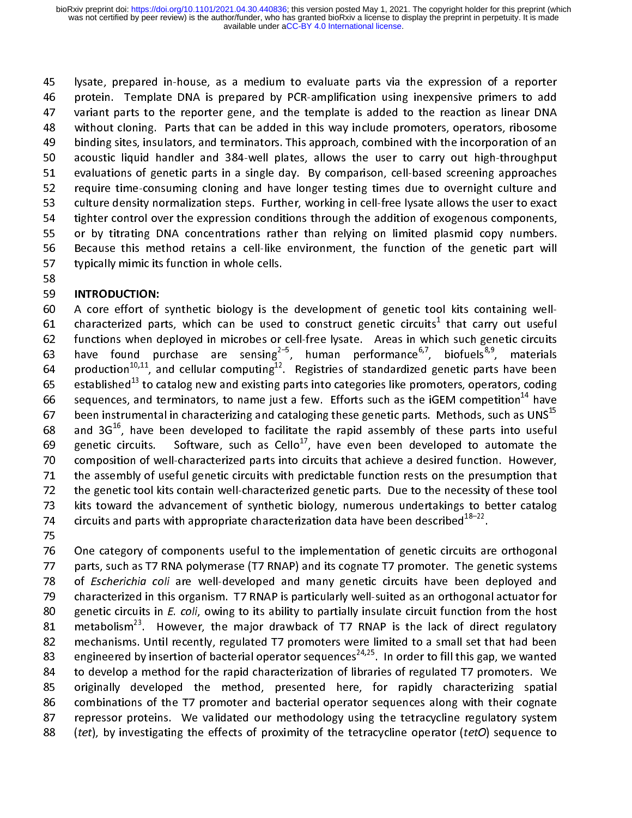lysate, prepared in-house, as a medium to evaluate parts via the expression of a reporter<br>46 protein. Template DNA is prepared by PCR-amplification using inexpensive primers to add<br>47 variant parts to the reporter gene, an 45 47 variant parts to the reporter gene, and the template is added to the reaction as linear DNA<br>48 without cloning. Parts that can be added in this way include promoters, operators, ribosome<br>49 binding sites, insulators, an 48 vithout cloning. Parts that can be added in this way include promoters, operators, ribosome<br>49 binding sites, insulators, and terminators. This approach, combined with the incorporation of an 49 binding sites, insulators, and terminators. This approach, combined with the incorporation of an<br>50 acoustic liquid handler and 384-well plates, allows the user to carry out high-throughput 49 50 acoustic liquid handler and 384-well plates, allows the user to carry out high-throughput<br>491 evaluations of genetic parts in a single day. By comparison, cell-based screening approaches<br>492 erguire time-consuming cl 52 require time-consuming cloning and have longer testing times due to overnight culture and<br>53 culture density normalization steps. Further, working in cell-free lysate allows the user to exact 52 acoustic lime-consuming cloning and have longer testing times due to overnight culture and<br>53 aculture density normalization steps. Further, working in cell-free lysate allows the user to exact For the construction of the many cloning and have longer tering and the top components.<br>53 culture density normalization steps. Further, working in cell-free lysate allows the user to exact<br>54 tighter control over the expr 54 tighter control over the expression conditions through the addition of exogenous components,<br>55 or by titrating DNA concentrations rather than relying on limited plasmid copy numbers.<br>56 Because this method retains a ce 55 or by titrating DNA concentrations rather than relying on limited plasmid copy numbers.<br>56 Because this method retains a cell-like environment, the function of the genetic part will<br>57 typically mimic its function in wh 56 Decause this method retains a cell-like environment, the function of the genetic part will storm than book concentrations in whole cells.<br>58<br>58 typically mimic its function in whole cells.

59 INTRODUCTION:<br>60 A core effort of synthetic biology is the development of genetic tool kits containing well-59<br>60<br>61 61 characterized parts, which can be used to construct genetic circuits<sup>1</sup> that carry out useful 62 functions when deployed in microbes or cell-free lysate. Areas in which such genetic circuits 62 functions when deployed in microbes or cell-free lysate. Areas in which such genetic circuits 63 have found purchase are sensing<sup>2-5</sup>. human performance<sup>6,7</sup>, biofuels<sup>8,9</sup>, materials 63 have found purchase are sensing<sup>2–5</sup>, human performance<sup>6,7</sup>, biofuels<sup>8,9</sup>, materials<br>64 production<sup>10,11</sup>, and cellular-computing<sup>12</sup>. Registries of standardized-genetic-parts-have-been batture found purchase are sensing<sup>2–5</sup>, human performance<sup>6,7</sup>, biofuels<sup>8,9</sup>, materials<br>64 production<sup>10,11</sup>, and cellular computing<sup>12</sup>. Registries of standardized genetic parts have been<br>65 established<sup>13</sup> to catalog 64 production<sup>19,11</sup>, and cellular computing<sup>11</sup>. Registries of standardized genetic parts have been<br>65 established<sup>13</sup> to catalog new and existing parts into categories like promoters, operators, coding<br>66 sequences, and 65 established<sup>45</sup> to catalog new and existing parts into categories like promoters, operators, coding<br>66 sequences, and terminators, to name just a few. Efforts such as the iGEM competition<sup>14</sup> have<br>67 been instrumental i 66 sequences, and terminators, to name just a few. Efforts such as the iGEM competition<sup>4</sup> have<br>67 been instrumental in characterizing and cataloging these genetic parts. Methods, such as UNS<sup>15</sup><br>68 and 3G<sup>16</sup>, have been d been instrumental in characterizing and cataloging these genetic parts. Methods, such as UNS<sup>15</sup><br>68 and 3G<sup>16</sup>, have been developed to facilitate the rapid assembly of these parts into useful<br>69 genetic circuits. Software and 3G16 68 , have been developed to facilitate the rapid assembly of these parts into useful 69 genetic circuits. Software, such as Cello<sup>2</sup>', have even been developed to automate the<br>70 composition of well-characterized parts into circuits that achieve a desired function. However,<br>71 th 71 the assembly of useful genetic circuits with predictable function rests on the presumption that<br>72 the genetic tool kits contain well-characterized genetic parts. Due to the necessity of these tool<br>73 kits toward the ad The assembly of useful general entity the predictable function restrict the predimption that<br>72 the genetic tool kits contain well-characterized genetic parts. Due to the necessity of these tool<br>73 kits toward the advancem 22 The general communication contains contained general parts. The necessity of the necessity of the necessity<br>74 Circuits and parts with appropriate characterization data have been described<sup>18–22</sup>. 74 circuits and parts with appropriate characterization data have been described $^{18-22}$ .<br>75

76 One category of components useful to the implementation of genetic circuits are orthogonal<br>22 parts, such as T7 RNA polymerase (T7 RNAP) and its cognate T7 promoter. The genetic systems 76<br>77<br>78 78 of *Escherichia coli* are well-developed and many genetic circuits have been deployed and<br>79 characterized in this organism. T7 RNAP is particularly well-suited as an orthogonal actuator for 79 but characterized in this organism. T7 RNAP is particularly well-suited as an orthogonal actuator for the host<br>80 benetic circuits in *E. coli,* owing to its ability to partially insulate circuit function from the host 279 characterized in this organism. T7 RNAP is particularly well-suited as an orthogonal actuator for genetic circuits in *E. coli*, owing to its ability to partially insulate circuit function from the host metabolism<sup>23</sup> 80 genetic circuits in *E. coli,* owing to its ability to partially insulate circuit function from the host<br>81 metabolism<sup>23</sup>. However, the major drawback of T7 RNAP is the lack of direct regulatory<br>82 mechanisms. Until re metabolism<sup>23</sup>. However, the major drawback of T7 RNAP is the lack of direct regulatory mechanisms. Until recently, regulated T7 promoters were limited to a small set that had been engineered by insertion of bacterial ope 81 metabolism<sup>es</sup>. However, the major drawback of T7 RNAP is the lack of direct regulatory<br>82 mechanisms. Until recently, regulated T7 promoters were limited to a small set that had been<br>83 engineered by example in the contribution of the control of process to promote the control of this gap, we wanted<br>84 to develop a method for the rapid characterization of libraries of regulated T7 promoters. We engineered by insertion of bacterial operator sequences<sup>24,25</sup>. In order to fill this gap, we wanted<br>84 to develop a method for the rapid characterization of libraries of regulated T7 promoters. We<br>85 originally 85 originally developed the method, presented here, for rapidly characterizing spatial<br>86 combinations.of the T7 promoter and bacterial operator sequences along with their cognate<br>87 repressor proteins. We validated our me 86 combinations of the T7 promoter and bacterial operator sequences along with their cognate<br>87 or epressor proteins. We validated our methodology using the tetracycline regulatory system<br>88 (*tet*), by investigating the e 87 epressor proteins. We validated our methodology using the tetracycline regulatory system<br>88 (tet), by investigating the effects of proximity of the tetracycline operator (tetO) sequence to  $12.2$  repressed proteins. We calidated our methodology using the tetracycline regulator ( $tetO$ ) sequence to  $12.2$  regulatory system.  $88.88 \pm 0.000$  in the effects of proximity of the tetracycline operator (tetracycline operator to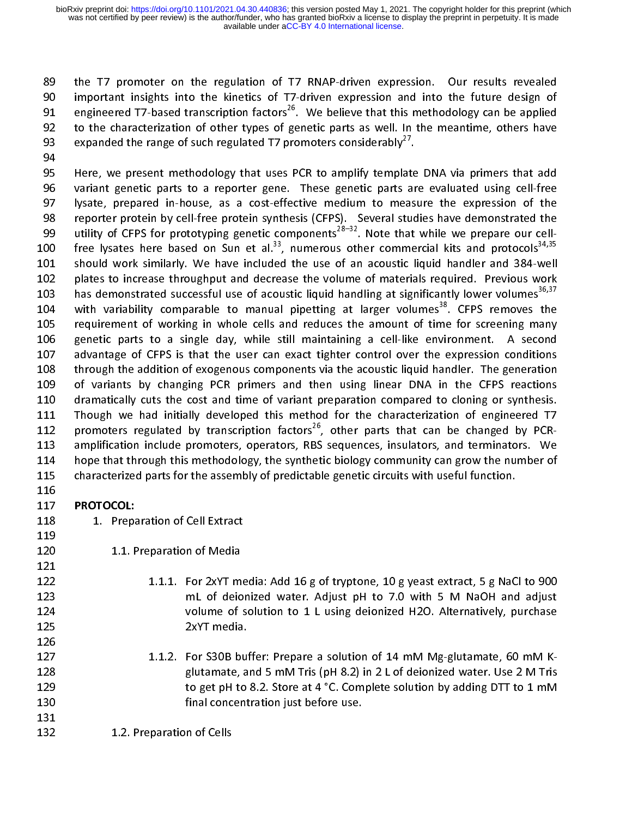89 90 important insights into the kinetics of T7-driven expression and into the future design of<br>91 engineered T7-based transcription factors<sup>26</sup>. We believe that this methodology can be applied 91 engineered T7-based transcription factors<sup>26</sup>. We believe that this methodology can be applied<br>92 to the characterization of other types of genetic parts as well. In the meantime, others have engineered T7-based transcription factors<sup>26</sup>. We believe that this methodology can be applied<br>92 to the characterization of other types of genetic parts as well. In the meantime, others have<br>93 expanded the range of such expanded the range of such regulated T7 promoters considerably<sup>27</sup>.

95 Here, we present methodology that uses PCR to amplify template DNA via primers that add<br>96 Deraiant genetic parts to a reporter gene. These genetic parts are evaluated using cell-free 95<br>96<br>97 96 variant genetic parts to a reporter gene. These genetic parts are evaluated using cell-free<br>97 Iysate, prepared in-house, as a cost-effective medium to measure the expression of the 196 variant generic parts to a reporter generic model in parts are evaluated aring centres.<br>98 by reporter protein by cell-free protein synthesis (CFPS). Several studies have demonstrated the expression prepared in house, as a constrained in-house in-house in-house reporter protein by cell-free protein synthesis (CFPS). Several studies have demonstrated the utility of CFPS for prototyping genetic components<sup>28–</sup> 99 utility of CFPS for prototyping genetic components<sup>28–32</sup>. Note that while we prepare our cell-<br>00 free lysates here based on Sun et al.<sup>33</sup>, numerous other commercial kits and protocols<sup>34,35</sup> utility of CFPS for prototyping genetic components<sup>28–32</sup>. Note that while we prepare our cell-<br>100 free lysates here based on Sun et al.<sup>33</sup>, numerous other commercial kits and protocols<sup>34,35</sup><br>101 should work similarly. free 101 should work similarly. We have included the use of an acoustic liquid handler and 384-well<br>102 plates to increase throughput and decrease the volume of materials required. Previous work<br>103 has demonstrated succe 103 has demonstrated successful use of acoustic liquid handling at significantly lower volumes<sup>36,37</sup><br>104 vith variability comparable to manual pipetting at larger volumes<sup>38</sup>. CFPS removes the has demonstrated successful use of acoustic liquid handling at significantly lower volumes<sup>36,37</sup><br>104 buth variability comparable to manual pipetting at larger volumes<sup>38</sup>. CFPS removes the<br>105 buth requirement of working requirement of working in whole cells and reduces the amount of time for screening many<br>106 genetic parts to a single day, while still maintaining a cell-like environment. A second<br>107 advantage of CFPS is that the user ca 106 genetic parts to a single day, while still maintaining a cell-like environment. A second<br>107 advantage of CFPS is that the user can exact tighter control over the expression conditions<br>108 through the addition of exoge 107 advantage of CFPS is that the user can exact tighter control over the expression conditions<br>108 through the addition of exogenous components via the acoustic liquid handler. The generation 108 through the addition of exogenous components via the acoustic liquid handler. The generation<br>109 of variants by changing PCR primers and then using linear DNA in the CFPS reactions 109 of variants by changing PCR primers and then using linear DNA in the CFPS reactions<br>110 dramatically cuts the cost and time of variant preparation compared to cloning or synthesis.<br>111 Though we had initially developed 111 Though we had initially developed this method for the characterization of engineered T7<br>112 promoters regulated by transcription factors<sup>26</sup>, other parts that can be changed by PCR-111 Though we had initially developed this method for the characterization of engineered T7<br>112 promoters regulated by transcription factors<sup>26</sup>, other parts that can be changed by PCR-112 promoters regulated by transcription factors<sup>26</sup>, other parts that can be changed by PCR-<br>113 amplification include promoters, operators, RBS sequences, insulators, and terminators. We amplification include promoters, operators, RBS sequences, insulators, and terminators. We<br>114 hope that through this methodology, the synthetic biology community can grow the number of<br>115 characterized parts for the asse 114 hope that through this methodology, the synthetic biology community can grow the number of<br>115 characterized parts for the assembly of predictable genetic circuits with useful function.<br>116 characterized parts for the assembly of predictable genetic circuits with useful function.<br>PROTOCOL:

122<br>123<br>124

127<br>128<br>129

- 116<br>116<br>117 **PROTOCOL:**
- 117<br>118<br>119 1. Preparation of Cell Extract
- 120 1.1. Preparation of Media<br>121 120
- 122 1.1.1. For 2xYT media: Add 16 g of tryptone, 10 g yeast extract, 5 g NaCl to 900<br>mL of deionized water. Adjust pH to 7.0 with 5 M NaOH and adjust 123 123 mL of deionized water. Adjust pH to 7.0 with 5 M NaOH and adjust<br>124 molume of solution to 1 L using deionized H2O. Alternatively, purchase<br>125 2xYT media. 124 mL on the solution to 1 L using deionized H2O. Alternatively, purchase<br>125 media. 2xYT media.<br>126 mL 126 mL 200 with 5 M Naoh and adjust parameter. And adjust parameter. And adjust purchase i  $125$  2xYT media.  $2 \times 10^{-10}$  and  $2 \times 10^{-10}$  and  $2 \times 10^{-10}$  and  $2 \times 10^{-10}$  and  $2 \times 10^{-10}$  and  $2 \times 10^{-10}$  and  $2 \times 10^{-10}$  and  $2 \times 10^{-10}$  and  $2 \times 10^{-10}$  and  $2 \times 10^{-10}$  and  $2 \times 10^{-10}$  and  $2 \times 10^{-10}$  and
- 127 1.1.2. For S30B buffer: Prepare a solution of 14 mM Mg-glutamate, 60 mM K-<br>glutamate, and 5 mM Tris (pH 8.2) in 2 L of deionized water. Use 2 M Tris 128 128 glutamate, and 5 mM Tris (pH 8.2) in 2 L of deionized water. Use 2 M Tris<br>129 to get pH to 8.2. Store at 4 °C. Complete solution by adding DTT to 1 mM<br>130 final concentration just before use. 129 129 to get pH to 8.2. Store at 4 °C. Complete solution by adding DTT to 1 mM<br>130 final concentration just before use.<br>131 129 to get pH to 8.2. Store at 4  $\sigma$ . Store solution by adding DTT to 1 mm<br>130 final concentration just before use.
- 1.2. Preparation of Cells. 131 132 1.2. Preparation of Cells<br>132 1.2. Preparation of Cells<br>132 1.2. Preparation of Cells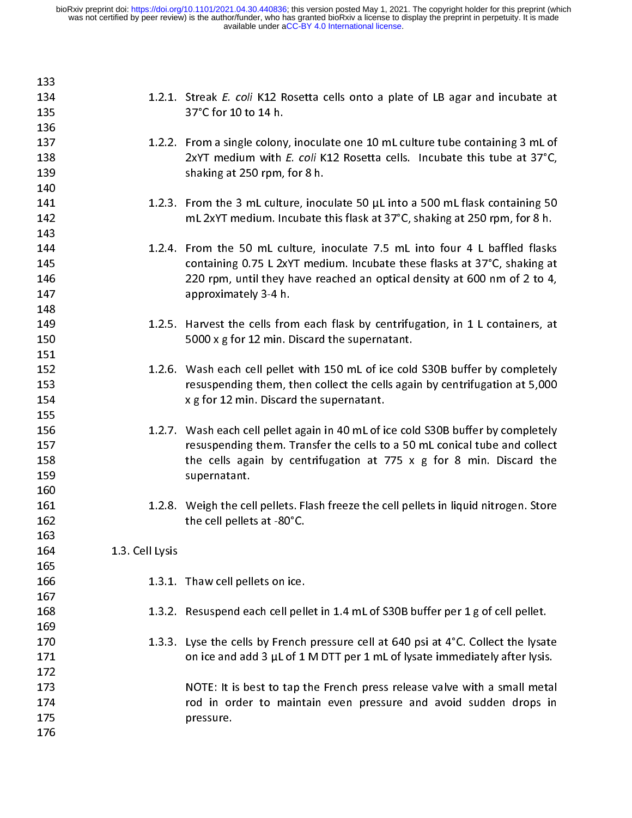| 133 |                 |                                                                                        |
|-----|-----------------|----------------------------------------------------------------------------------------|
| 134 |                 | 1.2.1. Streak E. coli K12 Rosetta cells onto a plate of LB agar and incubate at        |
| 135 |                 | 37°C for 10 to 14 h.                                                                   |
| 136 |                 |                                                                                        |
| 137 |                 | 1.2.2. From a single colony, inoculate one 10 mL culture tube containing 3 mL of       |
| 138 |                 | 2xYT medium with E. coli K12 Rosetta cells. Incubate this tube at 37°C,                |
| 139 |                 | shaking at 250 rpm, for 8 h.                                                           |
| 140 |                 |                                                                                        |
| 141 |                 | 1.2.3. From the 3 mL culture, inoculate 50 µL into a 500 mL flask containing 50        |
| 142 |                 | mL 2xYT medium. Incubate this flask at 37°C, shaking at 250 rpm, for 8 h.              |
| 143 |                 |                                                                                        |
| 144 |                 | 1.2.4. From the 50 mL culture, inoculate 7.5 mL into four 4 L baffled flasks           |
| 145 |                 | containing 0.75 L 2xYT medium. Incubate these flasks at 37°C, shaking at               |
| 146 |                 | 220 rpm, until they have reached an optical density at 600 nm of 2 to 4,               |
| 147 |                 | approximately 3-4 h.                                                                   |
| 148 |                 |                                                                                        |
| 149 |                 | 1.2.5. Harvest the cells from each flask by centrifugation, in 1 L containers, at      |
| 150 |                 | 5000 x g for 12 min. Discard the supernatant.                                          |
| 151 |                 |                                                                                        |
| 152 |                 | 1.2.6. Wash each cell pellet with 150 mL of ice cold S30B buffer by completely         |
| 153 |                 | resuspending them, then collect the cells again by centrifugation at 5,000             |
| 154 |                 | x g for 12 min. Discard the supernatant.                                               |
| 155 |                 |                                                                                        |
| 156 |                 | 1.2.7. Wash each cell pellet again in 40 mL of ice cold S30B buffer by completely      |
| 157 |                 | resuspending them. Transfer the cells to a 50 mL conical tube and collect              |
| 158 |                 | the cells again by centrifugation at 775 x g for 8 min. Discard the                    |
| 159 |                 | supernatant.                                                                           |
| 160 |                 |                                                                                        |
| 161 |                 | 1.2.8. Weigh the cell pellets. Flash freeze the cell pellets in liquid nitrogen. Store |
| 162 |                 | the cell pellets at -80°C.                                                             |
| 163 |                 |                                                                                        |
| 164 | 1.3. Cell Lysis |                                                                                        |
| 165 |                 |                                                                                        |
| 166 |                 | 1.3.1. Thaw cell pellets on ice.                                                       |
| 167 |                 |                                                                                        |
| 168 |                 | 1.3.2. Resuspend each cell pellet in 1.4 mL of S30B buffer per 1 g of cell pellet.     |
| 169 |                 |                                                                                        |
| 170 |                 | 1.3.3. Lyse the cells by French pressure cell at 640 psi at 4°C. Collect the lysate    |
| 171 |                 | on ice and add 3 µL of 1 M DTT per 1 mL of lysate immediately after lysis.             |
| 172 |                 |                                                                                        |
| 173 |                 | NOTE: It is best to tap the French press release valve with a small metal              |
| 174 |                 | rod in order to maintain even pressure and avoid sudden drops in                       |
| 175 |                 | pressure.                                                                              |
| 176 |                 |                                                                                        |
|     |                 |                                                                                        |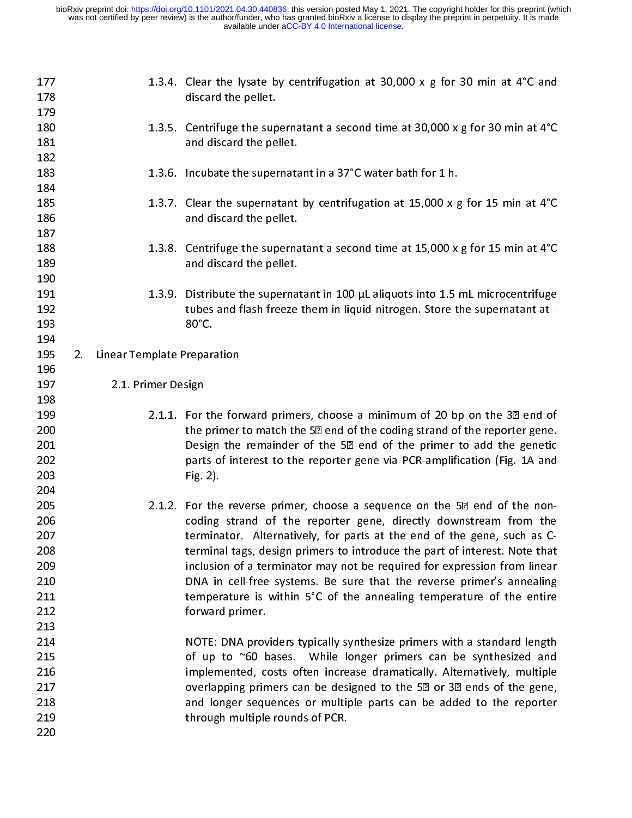| 177<br>178 |    |                             | 1.3.4. Clear the lysate by centrifugation at 30,000 x g for 30 min at $4^{\circ}$ C and<br>discard the pellet. |
|------------|----|-----------------------------|----------------------------------------------------------------------------------------------------------------|
| 179        |    |                             |                                                                                                                |
| 180        |    |                             | 1.3.5. Centrifuge the supernatant a second time at $30,000 \times g$ for 30 min at $4^{\circ}$ C               |
| 181        |    |                             | and discard the pellet.                                                                                        |
| 182        |    |                             |                                                                                                                |
| 183        |    |                             | 1.3.6. Incubate the supernatant in a 37°C water bath for 1 h.                                                  |
| 184        |    |                             |                                                                                                                |
| 185        |    |                             | 1.3.7. Clear the supernatant by centrifugation at 15,000 x g for 15 min at $4^{\circ}$ C                       |
| 186        |    |                             | and discard the pellet.                                                                                        |
| 187        |    |                             |                                                                                                                |
|            |    |                             |                                                                                                                |
| 188        |    |                             | 1.3.8. Centrifuge the supernatant a second time at 15,000 x g for 15 min at 4°C                                |
| 189        |    |                             | and discard the pellet.                                                                                        |
| 190        |    |                             |                                                                                                                |
| 191        |    |                             | 1.3.9. Distribute the supernatant in 100 µL aliquots into 1.5 mL microcentrifuge                               |
| 192        |    |                             | tubes and flash freeze them in liquid nitrogen. Store the supernatant at -                                     |
| 193        |    |                             | 80°C.                                                                                                          |
| 194        |    |                             |                                                                                                                |
| 195        | 2. | Linear Template Preparation |                                                                                                                |
| 196        |    |                             |                                                                                                                |
| 197        |    | 2.1. Primer Design          |                                                                                                                |
| 198        |    |                             |                                                                                                                |
| 199        |    |                             | 2.1.1. For the forward primers, choose a minimum of 20 bp on the 32 end of                                     |
| 200        |    |                             | the primer to match the 5 <sup>2</sup> end of the coding strand of the reporter gene.                          |
| 201        |    |                             | Design the remainder of the 5 <sup>2</sup> end of the primer to add the genetic                                |
| 202        |    |                             | parts of interest to the reporter gene via PCR-amplification (Fig. 1A and                                      |
| 203        |    |                             | Fig. $2$ ).                                                                                                    |
| 204        |    |                             |                                                                                                                |
| 205        |    |                             | 2.1.2. For the reverse primer, choose a sequence on the $5\overline{2}$ end of the non-                        |
| 206        |    |                             | coding strand of the reporter gene, directly downstream from the                                               |
| 207        |    |                             | terminator. Alternatively, for parts at the end of the gene, such as C-                                        |
| 208        |    |                             | terminal tags, design primers to introduce the part of interest. Note that                                     |
| 209        |    |                             | inclusion of a terminator may not be required for expression from linear                                       |
| 210        |    |                             | DNA in cell-free systems. Be sure that the reverse primer's annealing                                          |
| 211        |    |                             | temperature is within 5°C of the annealing temperature of the entire                                           |
| 212        |    |                             | forward primer.                                                                                                |
| 213        |    |                             |                                                                                                                |
| 214        |    |                             | NOTE: DNA providers typically synthesize primers with a standard length                                        |
| 215        |    |                             | of up to ~60 bases. While longer primers can be synthesized and                                                |
| 216        |    |                             | implemented, costs often increase dramatically. Alternatively, multiple                                        |
| 217        |    |                             | overlapping primers can be designed to the 52 or 32 ends of the gene,                                          |
| 218        |    |                             | and longer sequences or multiple parts can be added to the reporter                                            |
| 219        |    |                             | through multiple rounds of PCR.                                                                                |
| 220        |    |                             |                                                                                                                |
|            |    |                             |                                                                                                                |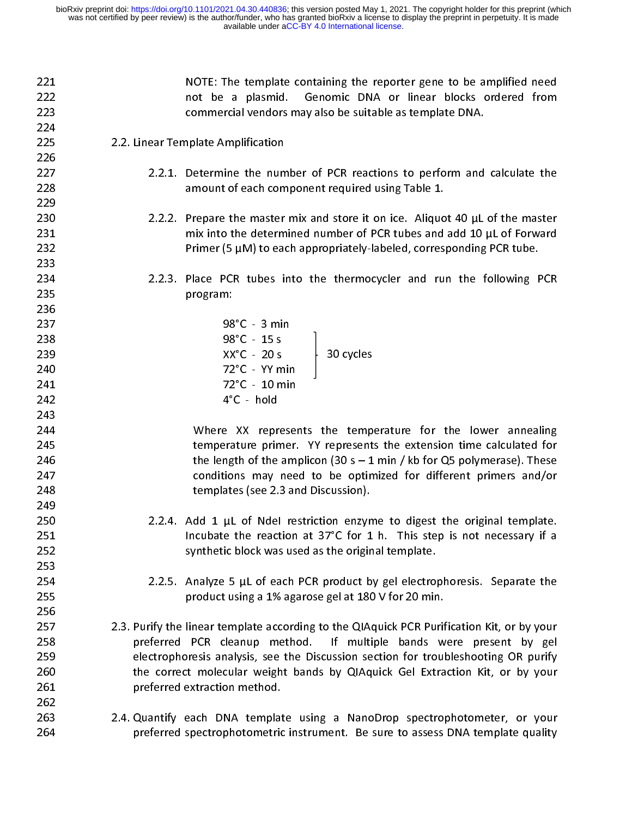| 221 | NOTE: The template containing the reporter gene to be amplified need                       |
|-----|--------------------------------------------------------------------------------------------|
| 222 | not be a plasmid. Genomic DNA or linear blocks ordered from                                |
| 223 | commercial vendors may also be suitable as template DNA.                                   |
| 224 |                                                                                            |
| 225 | 2.2. Linear Template Amplification                                                         |
| 226 |                                                                                            |
| 227 | 2.2.1. Determine the number of PCR reactions to perform and calculate the                  |
| 228 | amount of each component required using Table 1.                                           |
| 229 |                                                                                            |
| 230 | 2.2.2. Prepare the master mix and store it on ice. Aliquot 40 $\mu$ L of the master        |
| 231 | mix into the determined number of PCR tubes and add 10 µL of Forward                       |
| 232 | Primer (5 $\mu$ M) to each appropriately-labeled, corresponding PCR tube.                  |
| 233 |                                                                                            |
| 234 | 2.2.3. Place PCR tubes into the thermocycler and run the following PCR                     |
| 235 | program:                                                                                   |
| 236 |                                                                                            |
| 237 | $98^{\circ}$ C $-3$ min                                                                    |
| 238 |                                                                                            |
| 239 |                                                                                            |
| 240 |                                                                                            |
|     | 72°C - 10 min                                                                              |
| 241 |                                                                                            |
| 242 | $4^{\circ}$ C - hold                                                                       |
| 243 |                                                                                            |
| 244 | Where XX represents the temperature for the lower annealing                                |
| 245 | temperature primer. YY represents the extension time calculated for                        |
| 246 | the length of the amplicon $(30 s - 1 min / kb$ for Q5 polymerase). These                  |
| 247 | conditions may need to be optimized for different primers and/or                           |
| 248 | templates (see 2.3 and Discussion).                                                        |
| 249 |                                                                                            |
| 250 | 2.2.4. Add 1 $\mu$ L of Ndel restriction enzyme to digest the original template.           |
| 251 | Incubate the reaction at $37^{\circ}$ C for 1 h. This step is not necessary if a           |
| 252 | synthetic block was used as the original template.                                         |
| 253 |                                                                                            |
| 254 | 2.2.5. Analyze 5 $\mu$ L of each PCR product by gel electrophoresis. Separate the          |
| 255 | product using a 1% agarose gel at 180 V for 20 min.                                        |
| 256 |                                                                                            |
| 257 | 2.3. Purify the linear template according to the QIAquick PCR Purification Kit, or by your |
| 258 | preferred PCR cleanup method. If multiple bands were present by gel                        |
| 259 | electrophoresis analysis, see the Discussion section for troubleshooting OR purify         |
| 260 | the correct molecular weight bands by QIAquick Gel Extraction Kit, or by your              |
| 261 | preferred extraction method.                                                               |
| 262 |                                                                                            |
| 263 | 2.4. Quantify each DNA template using a NanoDrop spectrophotometer, or your                |
| 264 | preferred spectrophotometric instrument. Be sure to assess DNA template quality            |
|     |                                                                                            |
|     |                                                                                            |
|     |                                                                                            |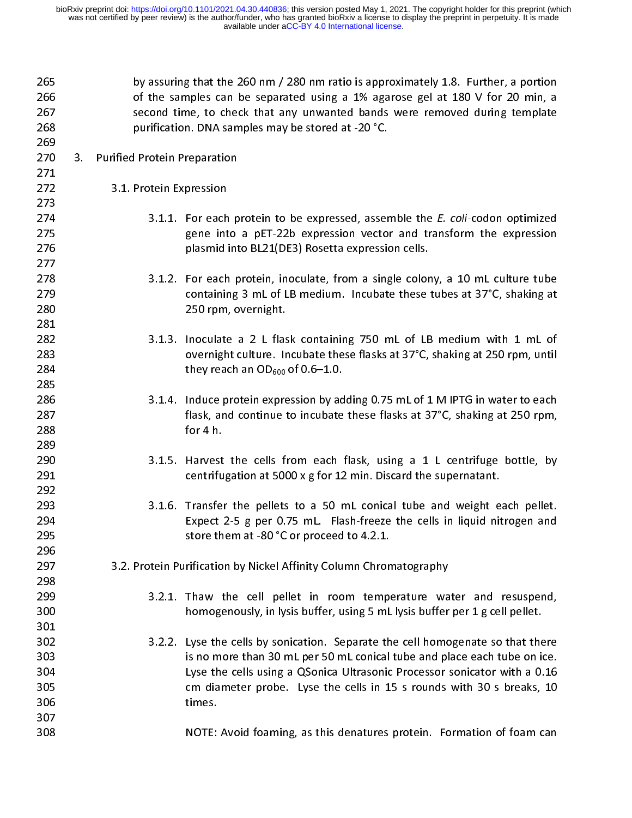by assuring that the 260 nm / 280 nm ratio is approximately 1.8. Further, a portion<br>266 6 16 of the samples can be separated using a 1% agarose gel at 180 V for 20 min, a<br>267 5 2000 100 second time, to check that any unwan 265 266 of the samples can be separated using a 1% agarose gel at 180 V for 20 min, a 20 °C. purification. DNA samples may be stored at -20 °C.<br>3. Purified Protein Preparation 270 3. Purified Protein Preparation.<br>271 270 272<br>273<br>274 272 3.1. Protein Expression<br>273 3.1.1. For each protein to be expressed, assemble the  $E$ . coli-codon optimized gene into a pET-22b expression vector and transform the expression 275 gene into a pET-22b expression vector and transform the expression<br>276 gene into a pET-22b expression vector and transform the expression<br>277<br>277 3.1.2. For each protein, inoculate, from a single colony, a 10 mL cultur 275<br>276 276 a.e. plasmid into BL21(DE3) Rosetta expression cells.<br>277 278 278 3.1.2. For each protein, inoculate, from a single colony, a 10 mL culture tube<br>279 containing 3 mL of LB medium. Incubate these tubes at 37°C, shaking at 278<br>279<br>280 278 3.1.2. For each protein, inoculate, from a single colony, a 10 mL culture tube 279 containing 3 mL of LE medium. Included these tubes at 37°C, shaking at 37°C, shaking at 37°C, shaking at 37°C, shaking at 37°C, shaking at 37°C, shaking at 37°C, shaking at 37°C, shaking at 37°C, shaking at 37°C, shaki 282<br>283<br>284 280 250 rpm, overnight. 282 3.1.3. Inoculate a 2 L flask containing 750 mL of LB medium with 1 mL of 284 **overage flashed culture flashed culture** they reach an OD<sub>600</sub> of 0.6–1.0. 286 3.1.4. Induce protein expression by adding 0.75 mL of 1 M IPTG in water to each 286 3.1.4. Induce protein expression by adding 0.75 mL of 1 M IPTG in water to each 287<br>288  $288$  for 4 h.<br>289 290 3.1.5. Harvest the cells from each flask, using a 1 L centrifuge bottle, by<br>291 centrifugation at 5000 x g for 12 min. Discard the supernatant. 290<br>291<br>292 centrifugation at 5000 x g for 12 min. Discard the supernatant. 293 293 3.1.6. Transfer the pellets to a 50 mL conical tube and weight each pellet.<br>294 Expect 2-5 g per 0.75 mL. Flash-freeze the cells in liquid nitrogen and 293<br>294<br>295 294 295 201. Expect 2-5 g per 0.75 mL. Flash-freeze the cells in liquid nitrogen and 295<br>295 296 metal to a store them at -80 °C or proceed to 4.2.1. store them at -80  $^{\circ}$ C or proceed to 4.2.1. 297 295 store them at -80 °C or proceed to 4.2.1. 299<br>300<br>301 299 3.2.1. Thaw the cell pellet in room temperature water and resuspend,<br>300 **homogenously, in lysis buffer, using 5 mL** lysis buffer per 1 g cell pellet. homogenously, in lysis buffer, using 5 mL lysis buffer per 1 g cell pellet. 302 3.2.2. Lyse the cells by sonication. Separate the cell homogenate so that there<br>303 is no more than 30 mL per 50 mL conical tube and place each tube on ice. 302<br>303<br>304 304 is no more the cells using a QSonica Ultrasonic Processor sonicator with a 0.16<br>305 in Manneter probe. Lyse the cells in 15 s rounds with 30 s breaks, 10 302 3.2.2. Lyse the cells by sonication. Separate the cell homogenate so that there 305 cm diameter probe. Lyse the cells in 15 s rounds with 30 s breaks, 10<br>306 times.  $\frac{305}{305}$  cm diameter probe. Lyse the cells in 15 s rounds with 30 s rounds  $\frac{1}{2}$ 306 times. 308  $\mathcal{S}$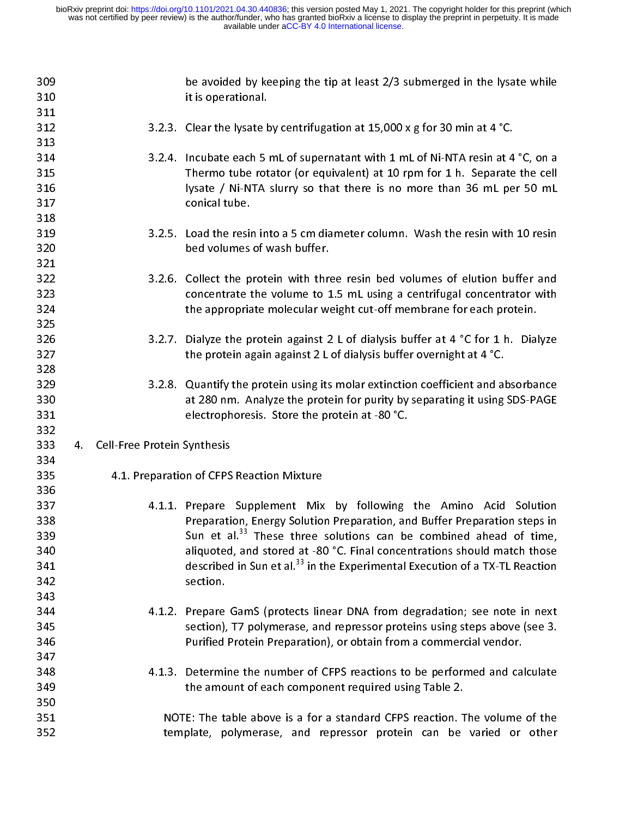| 309<br>310 |                                   | be avoided by keeping the tip at least 2/3 submerged in the lysate while<br>it is operational. |
|------------|-----------------------------------|------------------------------------------------------------------------------------------------|
| 311        |                                   |                                                                                                |
| 312        |                                   | 3.2.3. Clear the lysate by centrifugation at 15,000 x g for 30 min at 4 °C.                    |
| 313        |                                   |                                                                                                |
| 314        |                                   | 3.2.4. Incubate each 5 mL of supernatant with 1 mL of Ni-NTA resin at 4 °C, on a               |
| 315        |                                   | Thermo tube rotator (or equivalent) at 10 rpm for 1 h. Separate the cell                       |
| 316        |                                   | lysate / Ni-NTA slurry so that there is no more than 36 mL per 50 mL                           |
| 317        |                                   | conical tube.                                                                                  |
| 318        |                                   |                                                                                                |
| 319        |                                   | 3.2.5. Load the resin into a 5 cm diameter column. Wash the resin with 10 resin                |
| 320        |                                   | bed volumes of wash buffer.                                                                    |
| 321        |                                   |                                                                                                |
| 322        |                                   | 3.2.6. Collect the protein with three resin bed volumes of elution buffer and                  |
| 323        |                                   | concentrate the volume to 1.5 mL using a centrifugal concentrator with                         |
| 324        |                                   | the appropriate molecular weight cut-off membrane for each protein.                            |
| 325        |                                   |                                                                                                |
| 326        |                                   | 3.2.7. Dialyze the protein against 2 L of dialysis buffer at 4 °C for 1 h. Dialyze             |
| 327        |                                   | the protein again against 2 L of dialysis buffer overnight at 4 °C.                            |
| 328        |                                   |                                                                                                |
| 329        |                                   | 3.2.8. Quantify the protein using its molar extinction coefficient and absorbance              |
| 330        |                                   | at 280 nm. Analyze the protein for purity by separating it using SDS-PAGE                      |
| 331        |                                   | electrophoresis. Store the protein at -80 °C.                                                  |
| 332        |                                   |                                                                                                |
| 333        | Cell-Free Protein Synthesis<br>4. |                                                                                                |
|            |                                   |                                                                                                |
| 334        |                                   |                                                                                                |
| 335        |                                   | 4.1. Preparation of CFPS Reaction Mixture                                                      |
| 336        |                                   |                                                                                                |
| 337        |                                   | 4.1.1. Prepare Supplement Mix by following the Amino Acid Solution                             |
| 338        |                                   | Preparation, Energy Solution Preparation, and Buffer Preparation steps in                      |
| 339        |                                   | Sun et al. <sup>33</sup> These three solutions can be combined ahead of time,                  |
| 340        |                                   | aliquoted, and stored at -80 °C. Final concentrations should match those                       |
| 341        |                                   | described in Sun et al. <sup>33</sup> in the Experimental Execution of a TX-TL Reaction        |
| 342        |                                   | section.                                                                                       |
| 343        |                                   |                                                                                                |
| 344        |                                   | 4.1.2. Prepare GamS (protects linear DNA from degradation; see note in next                    |
| 345        |                                   | section), T7 polymerase, and repressor proteins using steps above (see 3.                      |
| 346        |                                   | Purified Protein Preparation), or obtain from a commercial vendor.                             |
| 347        |                                   |                                                                                                |
| 348        |                                   | 4.1.3. Determine the number of CFPS reactions to be performed and calculate                    |
| 349        |                                   | the amount of each component required using Table 2.                                           |
| 350        |                                   |                                                                                                |
| 351        |                                   | NOTE: The table above is a for a standard CFPS reaction. The volume of the                     |
| 352        |                                   | template, polymerase, and repressor protein can be varied or other                             |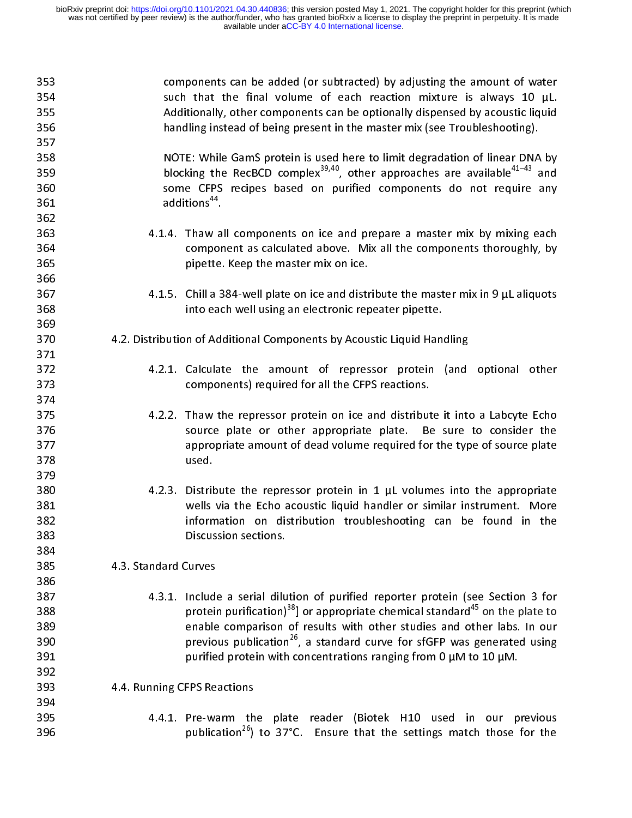353

components can be added (or subtracted) by adjusting the amount of water<br>354 such that the final volume of each reaction mixture is always 10 µL.<br>355 Additionally, other components can be optionally dispensed by acoustic l 354 such that the final volume of each reaction mixture is always 10 µL. handling instead of being present in the master mix (see Troubleshooting). 358 **1988 handling instead of being instead of the master of the master master master mix (359)**<br>359 handling the RecBCD complex<sup>39,40</sup>, other approaches are available<sup>41–43</sup> and 358<br>359<br>360 359 blocking the RecBCD complex<sup>39,40</sup>, other approaches are available<sup>41–43</sup> and<br>360 some CFPS recipes based on purified components do not require any<br>361 additions<sup>44</sup>. blocking the RecBCD complex39,40, other approaches are available41–43 359 and  $361$  solutions<sup>44</sup>.<br> $362$ 4.1.4. Thaw all components on ice and prepare a master mix by mixing each<br>364 . Component as calculated above. Mix all the components thoroughly, by 363<br>364<br>365 363 4.1.4. Thaw all components on ice and prepare a master mix by mixing each 365 component as calculated above. As calculated above.<br>166 component as calculated above. All the components thoroughly, by an extended above. All the components th<br>167 components that the components thoroughly, by an ext 4.1.5. Chill a 384-well plate on ice and distribute the master mix in 9  $\mu$ L aliguots 368<br>369 into each well using an electronic repeater pipette. 370 4.2. Distribution of Additional Components by Acoustic Liquid Handling<br>371 370 370 4.2. Distribution of Additional Components by Acoustic Liquid Handling 372<br>373<br>374 components) required for all the CFPS reactions. 375 4.2.2. Thaw the repressor protein on ice and distribute it into a Labcyte Echo<br>376 source plate or other appropriate plate. Be sure to consider the 375<br>376<br>377 376 50 500 376 50 1.2.2. Thaw the represent of the repropriate plate.<br>377 577 59 12.2. Thaw the represent of dead volume required for the type of source plate 377 source plate or other appropriate plate or other appropriate amount of dead volume required for the type of source plate.<br>378 second used.  $378$  used.<br> $379$ 378 used. 381<br>382 381 4.2. Wells via the Echo acoustic liquid handler or similar instrument. More<br>382 4.2. Discussion sections.<br>383 4.2. Discussion sections. 382 information on distribution troubleshooting can be found in the<br>383 Discussion sections.<br>384 383 information on distribution on distribution on distribution of the found in the found in the found in the found in the found in the found in the found in the found in the found in the found in the found in the found in 385 4.3. Standard Curves<br>386 385<br>386<br>387 4.3.1. Include a serial dilution of purified reporter protein (see Section 3 for 388<br>389 388 588 5.3.1.1. Include a series protein purification)<sup>38</sup>] or appropriate chemical standard<sup>45</sup> on the plate to<br>1898 5.1.1. In our comparison of results with other studies and other labs. In our<br>1908 5.1.1.1.1.1.1.1.1.1. protein purification)<sup>39</sup>] or appropriate chemical standard<sup>43</sup> on the plate to<br>389 on the plate comparison of results with other studies and other labs. In our<br>390 on the previous publication<sup>26</sup>, a standard curve for sfG  $390$  encodes provide comparison of  $26$ , a standard curve for sfGFP was generated using<br>391 burified protein with concentrations ranging from 0  $\mu$ M to 10  $\mu$ M. purified protein with concentrations ranging from 0 μM to 10 μM.<br>392 , a standard cress Reactions<br>393 , a standing CFPS Reactions  $392$ <br>393 purified protein with concentrations ranging from 0  $\frac{1}{2}$   $\frac{1}{2}$   $\frac{1}{2}$ 393<br>394<br>395

4.4.1. Pre-warm the plate reader (Biotek H10 used in our previous 394  $396$  publication<sup>26</sup>) to 37°C. Ensure that the settings match those for the publication<sup>26</sup>) to 37°C. Ensure that the settings match those for the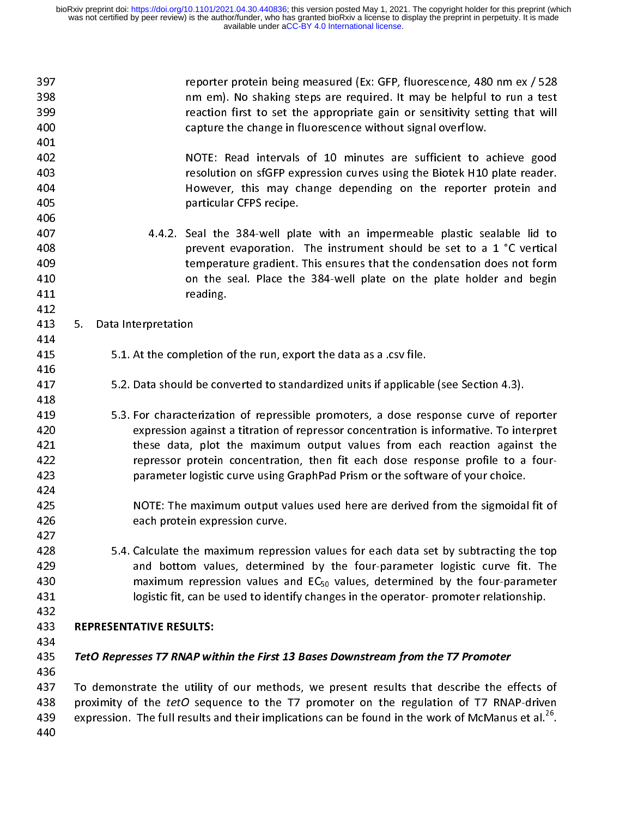| 397<br>398<br>399<br>400<br>401        | reporter protein being measured (Ex: GFP, fluorescence, 480 nm ex / 528<br>nm em). No shaking steps are required. It may be helpful to run a test<br>reaction first to set the appropriate gain or sensitivity setting that will<br>capture the change in fluorescence without signal overflow.                                                    |  |
|----------------------------------------|----------------------------------------------------------------------------------------------------------------------------------------------------------------------------------------------------------------------------------------------------------------------------------------------------------------------------------------------------|--|
| 402<br>403<br>404<br>405<br>406        | NOTE: Read intervals of 10 minutes are sufficient to achieve good<br>resolution on sfGFP expression curves using the Biotek H10 plate reader.<br>However, this may change depending on the reporter protein and<br>particular CFPS recipe.                                                                                                         |  |
| 407<br>408<br>409<br>410<br>411<br>412 | 4.4.2. Seal the 384-well plate with an impermeable plastic sealable lid to<br>prevent evaporation. The instrument should be set to a 1 °C vertical<br>temperature gradient. This ensures that the condensation does not form<br>on the seal. Place the 384-well plate on the plate holder and begin<br>reading.                                    |  |
| 413                                    | 5.<br>Data Interpretation                                                                                                                                                                                                                                                                                                                          |  |
| 414                                    |                                                                                                                                                                                                                                                                                                                                                    |  |
| 415                                    | 5.1. At the completion of the run, export the data as a .csv file.                                                                                                                                                                                                                                                                                 |  |
| 416                                    |                                                                                                                                                                                                                                                                                                                                                    |  |
| 417                                    | 5.2. Data should be converted to standardized units if applicable (see Section 4.3).                                                                                                                                                                                                                                                               |  |
| 418                                    |                                                                                                                                                                                                                                                                                                                                                    |  |
| 419                                    | 5.3. For characterization of repressible promoters, a dose response curve of reporter                                                                                                                                                                                                                                                              |  |
| 420                                    | expression against a titration of repressor concentration is informative. To interpret                                                                                                                                                                                                                                                             |  |
| 421                                    | these data, plot the maximum output values from each reaction against the                                                                                                                                                                                                                                                                          |  |
| 422                                    | repressor protein concentration, then fit each dose response profile to a four-                                                                                                                                                                                                                                                                    |  |
| 423                                    | parameter logistic curve using GraphPad Prism or the software of your choice.                                                                                                                                                                                                                                                                      |  |
| 424                                    |                                                                                                                                                                                                                                                                                                                                                    |  |
| 425                                    | NOTE: The maximum output values used here are derived from the sigmoidal fit of                                                                                                                                                                                                                                                                    |  |
| 426                                    | each protein expression curve.                                                                                                                                                                                                                                                                                                                     |  |
| 427                                    |                                                                                                                                                                                                                                                                                                                                                    |  |
| 428<br>429<br>430<br>431               | 5.4. Calculate the maximum repression values for each data set by subtracting the top<br>and bottom values, determined by the four-parameter logistic curve fit. The<br>$maximum$ repression values and $EC_{50}$ values, determined by the four-parameter<br>logistic fit, can be used to identify changes in the operator-promoter relationship. |  |
| 432                                    |                                                                                                                                                                                                                                                                                                                                                    |  |
| 433                                    | <b>REPRESENTATIVE RESULTS:</b>                                                                                                                                                                                                                                                                                                                     |  |
| 434                                    |                                                                                                                                                                                                                                                                                                                                                    |  |
| 435                                    | TetO Represses T7 RNAP within the First 13 Bases Downstream from the T7 Promoter                                                                                                                                                                                                                                                                   |  |
| 436                                    |                                                                                                                                                                                                                                                                                                                                                    |  |
| 437                                    | To demonstrate the utility of our methods, we present results that describe the effects of                                                                                                                                                                                                                                                         |  |
| 438                                    | proximity of the tetO sequence to the T7 promoter on the regulation of T7 RNAP-driven                                                                                                                                                                                                                                                              |  |
| 439                                    | expression. The full results and their implications can be found in the work of McManus et al. <sup>26</sup> .                                                                                                                                                                                                                                     |  |
| 440                                    |                                                                                                                                                                                                                                                                                                                                                    |  |
|                                        |                                                                                                                                                                                                                                                                                                                                                    |  |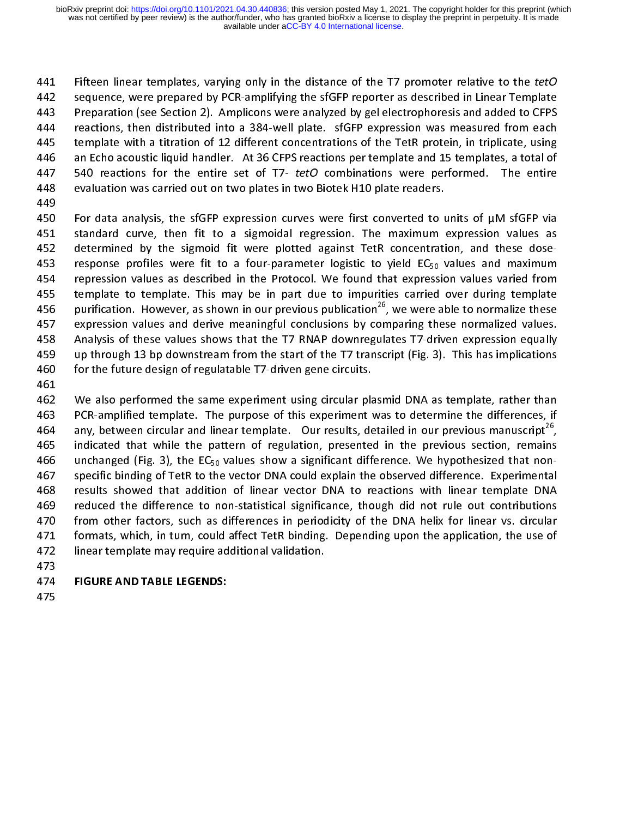sequence, were prepared by PCR-amplifying the sfGFP reporter as described in Linear Template<br>
443 Preparation (see Section 2). Amplicons were analyzed by gel electrophoresis and added to CFPS<br>
444 reactions, then distribu 443 Preparation (see Section 2). Amplicons were analyzed by gel electrophoresis and added to CFPS<br>444 Preactions, then distributed into a 384-well plate. SfGFP expression was measured from each 444 Preactions, then distributed into a 384-well plate. St of expression was measured from each<br>445 Premplate with a titration of 12 different concentrations of the TetR protein, in triplicate, using reactions, then distributed into a 384-well plate. sfGFP expression was measured from each<br>445 template with a titration of 12 different concentrations of the TetR protein, in triplicate, using<br>446 an Echo acoustic liquid 1446 an Echo acoustic liquid handler. At 36 CFPS reactions per template and 15 templates, a total of 1447 540 reactions for the entire set of T7- *tetO* combinations were performed. The entire 447 and Echo actions for the entire set of  $T$ - $tetO$  combinations were performed. The entire<br>448 evaluation was carried out on two plates in two Biotek H10 plate readers. allahda evaluation was carried out on two plates in two Biotek H10 plate readers.<br>449<br>450 For data analysis, the sfGFP expression curves were first converted to units of µM sfGFP via

exaluation was carried out on two plates in two Biotek H10 plate readers.<br>
449<br>
450 For data analysis, the sfGFP expression curves were first converted to units of  $\mu$ M sfGFP via<br>
451 standard curve, then fit to a sigmoi 451<br>452 451 standard curve, then fit to a sigmoidal regression. The maximum expression values as<br>452 determined by the sigmoid fit were plotted against TetR concentration, and these dose-<br>453 response profiles were fit to a four-453 response profiles were fit to a four-parameter logistic to yield  $EC_{50}$  values and maximum 454 repression values as described in the Protocol. We found that expression values varied from 454 – repression values as described in the Protocol. We found that expression values varied from 454 repression values as described in the Protocol. We found that expression values varied from<br>455 template to template. This may be in part due to impurities carried over during template 455 template to template. This may be in part due to impurities carried over during template<br>456 purification. However, as shown in our previous publication<sup>26</sup>, we were able to normalize these 456 purification. However, as shown in our previous publication<sup>26</sup>, we were able to normalize these<br>457 expression values and derive meaningful conclusions by comparing these normalized values. purification. However, as shown in our previous publication<sup>26</sup>, we were able to normalize these<br>
457 expression values and derive meaningful conclusions by comparing these normalized values.<br>
458 Analysis of these values 458 Analysis of these values shows that the T7 RNAP downregulates T7-driven expression equally<br>459 bup through 13 bp downstream from the start of the T7 transcript (Fig. 3). This has implications 459 and through 13 bp downstream from the start of the T7 transcript (Fig. 3). This has implications 460 for the future design of regulatable T7-driven gene circuits. 460 for the future design of regulatable T7-driven gene circuits.<br>461

462 We also performed the same experiment using circular plasmid DNA as template, rather than<br>463 PCR-amplified template. The purpose of this experiment was to determine the differences, if 462<br>463<br>464 463 PCR-amplified template. The purpose of this experiment was to determine the differences, if<br>464 any, between circular and linear template. Our results, detailed in our previous manuscript<sup>26</sup>, 464 any, between circular and linear template. Our results, detailed in our previous manuscript<sup>26</sup>,<br>465 indicated that while the pattern of regulation, presented in the previous section, remains 464 – any, between circular and linear template. Our results, detailed in our previous manuscript<sup>es</sup>,<br>465 – indicated that while the pattern of regulation, presented in the previous section, remains<br>466 – unchanged (Fig 466 indicated that while the pattern of regulation, presented in the previous section, remains<br>467 inchanged (Fig. 3), the EC<sub>50</sub> values show a significant difference. We hypothesized that non-<br>467 incredition specific bi 466 unchanged (Fig. 3), the  $EC_{50}$  values show a significant difference. We hypothesized that non-<br>467 specific binding of TetR to the vector DNA could explain the observed difference. Experimental<br>468 results showed tha experies the vector of the vector the vector DNA to reactions with linear template DNA<br>469 secults showed that addition of linear vector DNA to reactions with linear template DNA<br>469 seculed the difference to non-statistic results in the matrix showed that an extended that the contributions<br>470 from other factors, such as differences in periodicity of the DNA helix for linear vs. circular 470 from other factors, such as differences in periodicity of the DNA helix for linear vs. circular<br>471 formats, which, in turn, could affect TetR binding. Depending upon the application, the use of 471 formats, which, in turn, could affect TetR binding. Depending upon the application, the use of 472 for linear template may require additional validation. 471 formats, which, in turn, could affect TetR binding.<br>472 linear template may require additional validation.<br>473 **FIGURE AND TABLE LEGENDS:** 

- 
- **FIGURE AND TABLE LEGENDS:** 474 FIGURE AND TABLE LEGENDS:<br>475
- 473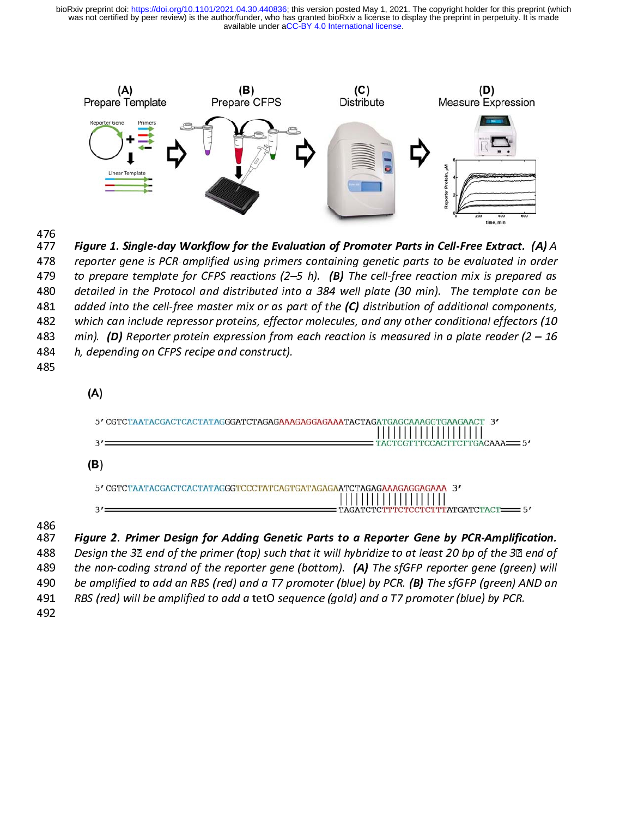



Figure 1. Single-day Workflow for the Evaluation of Fromcter Farts in cell-free Extract. (A) and the protocol and distributed into a 384 well plate (30 min). The template can be added in the Protocol and distributed into a 479 to prepare template for CFPS reactions (2–5 h). **(B)** The cell-free reaction mix is prepared as<br>480 detailed in the Protocol and distributed into a 384 well plate (30 min). The template can be<br>481 added into the cellto prepare template for CFPS reactions (2–5 h). (b) The cell-free reaction mix is prepared as<br>
480 detailed in the Protocol and distributed into a 384 well plate (30 min). The template can be<br>
481 added into the cell-free 481 added into the cell-free master mix or as part of the **(C)** distribution of additional components,<br>482 which can include repressor proteins, effector molecules, and any other conditional effectors (10<br>483 min). **(D)** 481 and the cell-free master mix or as part of the (C) distribution of dualitional emponents,<br>482 which can include repressor proteins, effector molecules, and any other conditional effectors (10<br>483 min). (D) Reporter pro



486

Figure 2. Primer Design for Adding Genetic Parts to a Reporter Gene by PCR-Amplification.<br>488 Design the 3 $\mathbb D$  end of the primer (top) such that it will hybridize to at least 20 bp of the 3 $\mathbb D$  end of<br>489 the non-codi 489 the non-coding strand of the reporter gene (bottom). (A) The sfGFP reporter gene (green) will be amplified to add an RBS (red) and a T7 promoter (blue) by PCR. (B) The sfGFP (green) AND an RBS (red) will be amplified

489 the non-coding strand of the reporter gene (bottom). (A) The sfort reporter gene (green) will<br>490 be amplified to add an RBS (red) and a T7 promoter (blue) by PCR. (B) The sfGFP (green) AND an<br>491 RBS (red) will be amp

490 be amplified to take an RBS (red) and a T7 promoter (blue) by PCR. (B) The sfGFF (green) AND an RBS (red) will be amplified to add a tetO sequence (gold) and a T7 promoter (blue) by PCR. (A) The signal and a T7 promot 491 RBS (red) will be amplified to add a tetO sequence (gold) and a T7 promoter (blue) by PCR.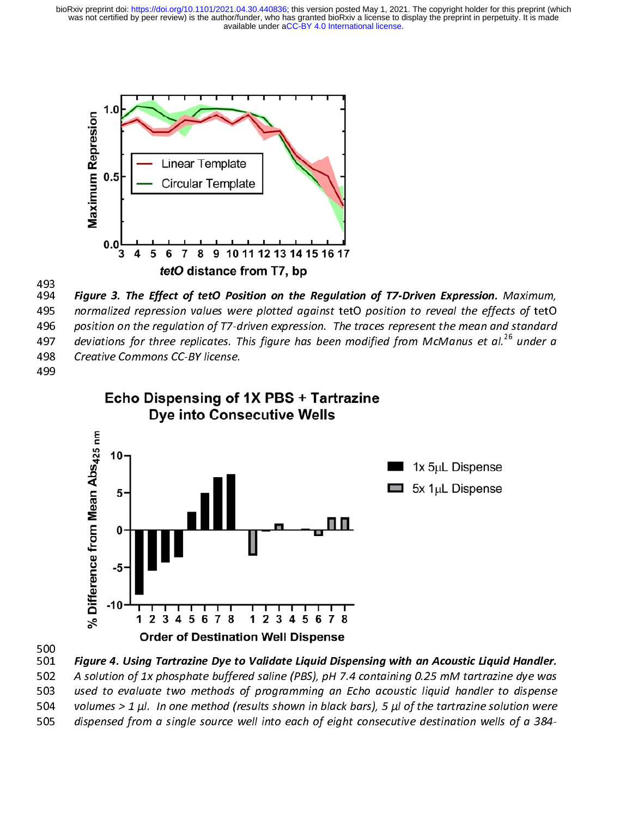

493



500

Figure 4. Using Tartrazine Dye to Validate Liquid Dispensing with an Acoustic Liquid Handler.<br>502 A solution of 1x phosphate buffered saline (PBS), pH 7.4 containing 0.25 mM tartrazine dye was<br>503 used to evaluate two met 503 used to evaluate two methods of programming an Echo acoustic liquid handler to dispense<br>504 volumes > 1 µl. In one method (results shown in black bars), 5 µl of the tartrazine solution were<br>505 dispensed from a single 504 volumes > 1 µl. In one method (results shown in black bars), 5 µl of the tartrazine solution were<br>505 dispensed from a single source well into each of eight consecutive destination wells of a 384-<br>505 dispensed from a 505 dispensed from a single source well into each of eight consecutive destination wells of a 384-<br> $\frac{1}{2}$ <br> $\frac{1}{2}$  and  $\frac{1}{2}$  and  $\frac{1}{2}$  and  $\frac{1}{2}$  and  $\frac{1}{2}$  and  $\frac{1}{2}$  and  $\frac{1}{2}$  and  $\frac{1}{2}$  and

 $505$  dispense dispense dispense and single source well into each of eight consecutive destination wells of a  $384$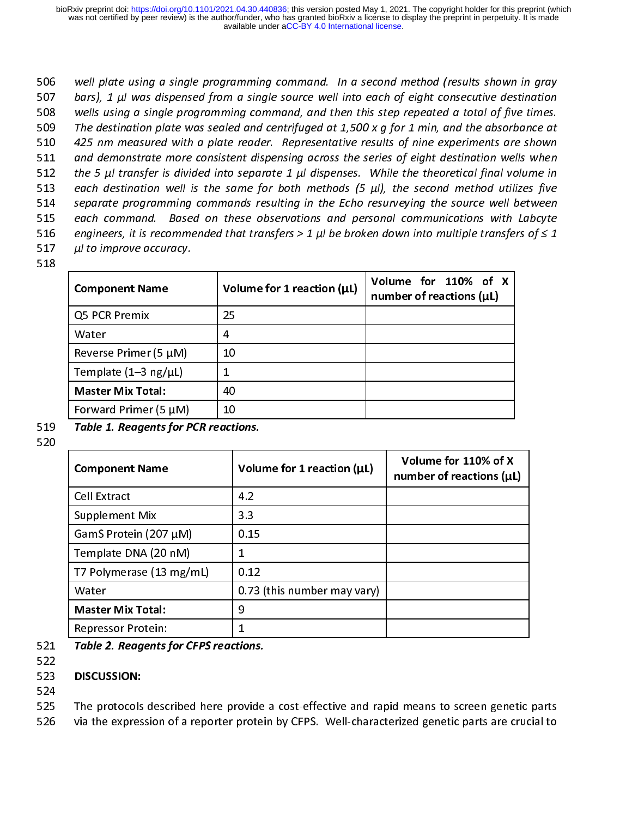506 507 bars), 1  $\mu$ l was dispensed from a single source well into each of eight consecutive destination<br>508 wells using a single programming command, and then this step repeated a total of five times.<br>509 The destination pl so swells using a single programming command, and then this step repeated a total of five times.<br>
509 The destination plate was sealed and centrifuged at 1,500 x g for 1 min, and the absorbance at<br>
510 425 nm measured wit 509 The destination plate was sealed and centrifuged at 1,500 x g for 1 min, and the absorbance at 425 nm measured with a plate reader. Representative results of nine experiments are shown and demonstrate more consistent 510 425 nm measured with a plate reader. Representative results of nine experiments are shown<br>511 and demonstrate more consistent dispensing across the series of eight destination wells when<br>512 the 5 µl transfer is divid 511 and demonstrate more consistent dispensing across the series of eight destination wells when<br>
512 and demonstrate more consistent dispensing across the series of eight destination wells when<br>
512 the 5 µl transfer is 512 the 5  $\mu$  transfer is divided into separate 1  $\mu$  dispenses. While the theoretical final volume in<br>
513 each destination well is the same for both methods (5  $\mu$ l), the second method utilizes five<br>
514 separate pro 513 each destination well is the same for both methods (5  $\mu$ l), the second method utilizes five<br>
514 separate programming commands resulting in the Echo resurveying the source well between<br>
515 each command. Based on th 514 separate programming commands resulting in the Echo resurveying the source well between<br>
515 each command. Based on these observations and personal communications with Labcyte<br>
516 engineers, it is recommended that tr

|                                   | µl to improve accuracy.      |                                                  |  |  |
|-----------------------------------|------------------------------|--------------------------------------------------|--|--|
| <b>Component Name</b>             | Volume for 1 reaction $(µL)$ | Volume for 110% of X<br>number of reactions (µL) |  |  |
| Q5 PCR Premix                     | 25                           |                                                  |  |  |
| Water                             | 4                            |                                                  |  |  |
| Reverse Primer (5 $\mu$ M)        | 10                           |                                                  |  |  |
| Template $(1-3 \text{ ng/}\mu L)$ |                              |                                                  |  |  |
| <b>Master Mix Total:</b>          | 40                           |                                                  |  |  |
| Forward Primer $(5 \mu M)$        | 10                           |                                                  |  |  |

- Table 1. Reagents for PCR reacti
- 

| <b>Component Name</b>     | Volume for 1 reaction $(µL)$ | Volume for 110% of X<br>number of reactions (µL) |
|---------------------------|------------------------------|--------------------------------------------------|
| Cell Extract              | 4.2                          |                                                  |
| <b>Supplement Mix</b>     | 3.3                          |                                                  |
| GamS Protein (207 µM)     | 0.15                         |                                                  |
| Template DNA (20 nM)      | 1                            |                                                  |
| T7 Polymerase (13 mg/mL)  | 0.12                         |                                                  |
| Water                     | 0.73 (this number may vary)  |                                                  |
| <b>Master Mix Total:</b>  | 9                            |                                                  |
| <b>Repressor Protein:</b> |                              |                                                  |

- <u>Repressor Proton:</u><br>Table 2. Reagents for CFPS reactic
- 

## 521 Trable 2. Reagents for CFPS reactions.<br>522<br>523 DISCUSSION: 522<br>523<br>524<br>525

- 
- **DISCUSSION:**<br>The protocols described here provide a cost-effective and rapid means to screen genetic parts
- 524 via the expression of a reporter protein by CFPS. Well-characterized genetic parts are crucial to 526 via the expression of a reporter protein by CFPS. Well-characterized genetic parts are crucial to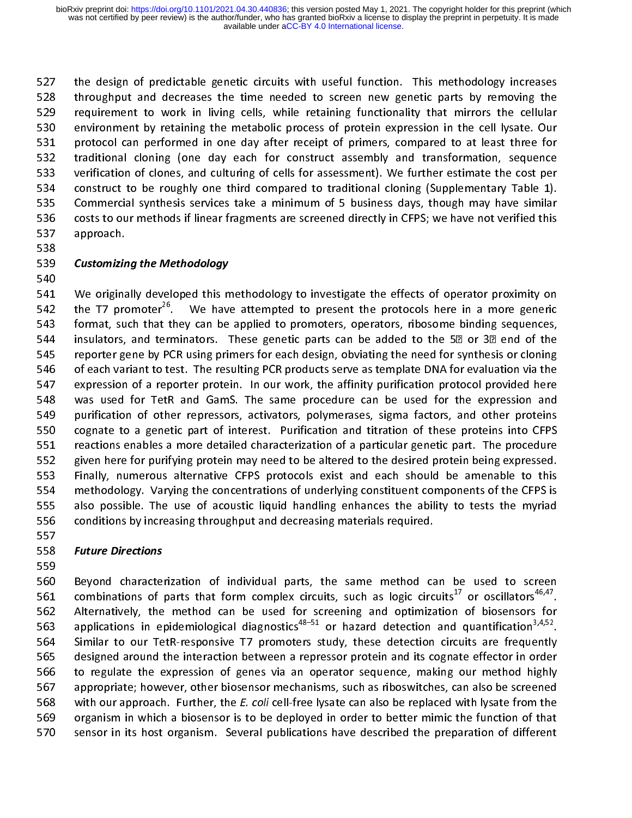527 the design of predictable genetic circuits with useful function. This methodology increases<br>528 throughput and decreases the time needed to screen new genetic parts by removing the<br>530 envirement to work in living cell 529 trequirement to work in living cells, while retaining functionality that mirrors the cellular<br>530 throughput and decreases of protein expression in the cell lysate. Our<br>531 through an performed in one day after receipt 530 environment by retaining the metabolic process of protein expression in the cell lysate. Our<br>531 protocol can performed in one day after receipt of primers, compared to at least three for<br>532 traditional cloning (one d 531 protocol can performed in one day after receipt of primers, compared to at least three for<br>532 traditional cloning (one day each for construct assembly and transformation, sequence<br>533 verification of clones, and cultu 532 traditional cloning (one day each for construct assembly and transformation, sequence<br>533 verification of clones, and culturing of cells for assessment). We further estimate the cost per<br>534 construct to be roughly one 534 tranditional construct to be roughly one third compared to traditional cloning (Supplementary Table 1).<br>535 The Commercial synthesis services take a minimum of 5 business days, though may have similar 534 construct to be roughly one third compared to traditional cloning (Supplementary Table 1).<br>535 Commercial synthesis services take a minimum of 5 business days, though may have similar 535 Commercial synthesis services take a minimum of 5 business days, though may have similar<br>536 costs to our methods if linear fragments are screened directly in CFPS; we have not verified this 536 costs to our methods if linear fragments are screened directly in CFPS; we have not verified this<br>537 approach.<br>538 537 costs to our methods is linear fragments are screened directly in CFPS; we have not verified this<br>537 approach.<br>538

540

## 539 Customizing the Methodology

541 We originally developed this methodology to investigate the effects of operator proximity on<br>542 The T7 promoter<sup>26</sup>. We have attempted to present the protocols here in a more generic 541<br>542<br>543 542 the T7 promoter<sup>26</sup>. We have attempted to present the protocols here in a more generic<br>543 format, such that they can be applied to promoters, operators, ribosome binding sequences,<br>544 insulators, and terminators. Th 543 5 format, such that they can be applied to promoters, operators, ribosome binding sequences,<br>544 3 . insulators, and terminators. These genetic parts can be added to the 50 or 30 end of the<br>545 3 . reporter gene by PCR 545 formater gene by PCR using primers for each design, obviating the need for synthesis or cloning<br>546 format to test. The resulting PCR products serve as template DNA for evaluation via the 545 in reporter gene by PCR using primers for each design, obviating the need for synthesis or cloning<br>546 in of each variant to test. The resulting PCR products serve as template DNA for evaluation via the 546 of each variant to test. The resulting PCR products serve as template DNA for evaluation via the<br>547 expression of a reporter protein. In our work, the affinity purification protocol provided here 547 expression of a reporter protein. In our work, the affinity purification protocol provided here<br>548 vas used for TetR and GamS. The same procedure can be used for the expression and<br>549 purification of other repressors 548 was used for TetR and GamS. The same procedure can be used for the expression and<br>549 purification of other repressors, activators, polymerases, sigma factors, and other proteins 549 purification of other repressors, activators, polymerases, sigma factors, and other proteins<br>550 cognate to a genetic part of interest. Purification and titration of these proteins into CFPS 550 cognate to a genetic part of interest. Purification and titration of these proteins into CFPS<br>551 reactions enables a more detailed characterization of a particular genetic part. The procedure<br>552 given here for purify For a generation of interest. Purification and titration and titration of interest. The procedure<br>552 given here for purifying protein may need to be altered to the desired protein being expressed. 552 given here for purifying protein may need to be altered to the desired protein being expressed.<br>553 Finally, numerous alternative CFPS protocols exist and each should be amenable to this 553 Finally, numerous alternative CFPS protocols exist and each should be amenable to this<br>554 methodology. Varying the concentrations of underlying constituent components of the CFPS is<br>555 also possible. The use of acous 553 Finally, numerous alternative CFPS protocols exist and each should be amenable to this 555 also possible. The use of acoustic liquid handling enhances the ability to tests the myriad<br>556 conditions by increasing throughput and decreasing materials required. 556 conditions by increasing throughput and decreasing materials required.<br>557 **Future Directions** 

## $557$  conditions by increasing the conditions of the conditions of the conditions  $558$  continued. The conditions required through  $558$  conditions  $558$  conditions of the conditions of the conditions of the conditions of 558<br>559

560 Beyond characterization of individual parts, the same method can be used to screen<br>561 combinations of parts that form complex circuits, such as logic circuits<sup>17</sup> or oscillators<sup>46,47</sup>. 560<br>561<br>562 combinations of parts that form complex circuits, such as logic circuits<sup>17</sup> or oscillators<sup>46,47</sup>.<br>562 Alternatively, the method can be used for screening and optimization of biosensors for<br>563 applications in epidemiolo 563 applications in epidemiological diagnostics<sup>48–51</sup> or hazard detection and quantification<sup>3,4,52</sup>.<br>564 Similar to our TetR-responsive T7 promoters study, these detection circuits are frequently<br>565 designed around the 564 Similar to our TetR-responsive T7 promoters study, these detection circuits are frequently<br>565 designed around the interaction between a repressor protein and its cognate effector in order<br>566 to regulate the expressio 566 to regulate the expression of genes via an operator sequence, making our method highly<br>567 appropriate; however, other biosensor mechanisms, such as riboswitches, can also be screened 567 to regulate the expression of genes via an operator sequence, mannighed insured highly<br>568 to with our approach. Further, the *E. coli* cell-free lysate can also be replaced with lysate from the 568 vith our approach. Further, the E. coli cell-free lysate can also be replaced with lysate from the<br>569 organism in which a biosensor is to be deployed in order to better mimic the function of that<br>570 sensor in its hos organism in which a biosensor is to be deployed in order to better mimic the function of that<br>S70 sensor in its host organism. Several publications have described the preparation of different<br>S70 sensor in its host organis sensor in its host organism. Several publications have described the preparation of different  $570$  sensor in its host organism. Several publications have described the preparation of differential  $\sim$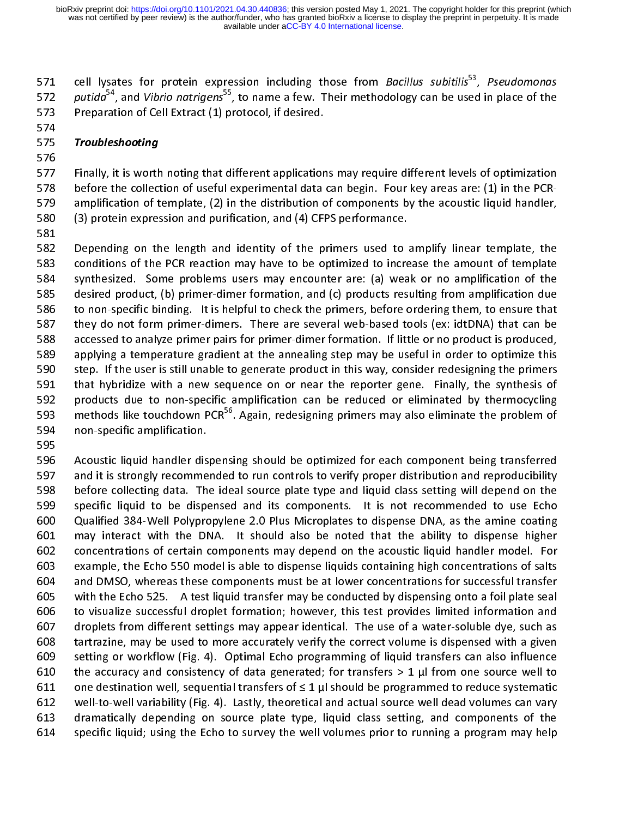## 573 Preparation of Cell Extract (1) protocol, if desired. 574<br>575<br>576

cell lysates for protein expression including those from *Bacillus subitilis<sup>55</sup>*, *Pseudomonas*<br>
sputida<sup>54</sup>, and *Vibrio natrigens*<sup>55</sup>, to name a few. Their methodology can be used in place of the<br>
Preparation of Cell putida<sup>54</sup>, and *Vibrio natrigens<sup>54</sup>*, to name a few. Their methodology can be used in place of the<br>573 Preparation of Cell Extract (1) protocol, if desired.<br>574 **Troubleshooting**<br>575 **Troubleshooting**<br>577 Finally, it is 575 Troubleshooting<br>576 Timally, it is worth noting that different applications may require different levels of optimization<br>578 before the collection of useful experimental data can begin. Four key areas are: (1) in the P 577<br>578<br>579 579 amplification of template, (2) in the distribution of components by the acoustic liquid handler,<br>580 (3) protein expression and purification, and (4) CFPS performance. 580 before the collection of the collection of the collection of the PCR-Four can be provided. For  $\sim$  $580$  (3) protein expression and purification, and (4) CFPS performance.<br> $581$ 

581<br>582 Depending on the length and identity of the primers used to amplify linear template, the<br>583 Conditions of the PCR reaction may have to be optimized to increase the amount of template 582<br>583<br>584 583 conditions of the PCR reaction may have to be optimized to increase the amount of template<br>584 synthesized. Some problems users may encounter are: (a) weak or no amplification of the<br>585 desired product. (b) primer-dim 584 synthesized. Some problems users may encounter are: (a) weak or no amplification of the<br>585 desired product, (b) primer-dimer formation, and (c) products resulting from amplification due 585 desired product, (b) primer-dimer formation, and (c) products resulting from amplification due<br>586 to non-specific binding. It is helpful to check the primers, before ordering them, to ensure that 586 to non-specific binding. It is helpful to check the primers, before ordering them, to ensure that<br>587 they do not form primer-dimers. There are several web-based tools (ex: idtDNA) that can be 587 they do not form primer-dimers. There are several web-based tools (ex: idtDNA) that can be<br>588 accessed to analyze primer pairs for primer-dimer formation. If little or no product is produced, 588 accessed to analyze primer pairs for primer-dimer formation. If little or no product is produced,<br>589 applying a temperature gradient at the annealing step may be useful in order to optimize this 589 applying a temperature gradient at the annealing step may be useful in order to optimize this<br>590 step. If the user is still unable to generate product in this way, consider redesigning the primers 589 applying a temperature gradient at the annealing step may be useful in order to optimize this<br>590 step. If the user is still unable to generate product in this way, consider redesigning the primers<br>591 that hybridize w 592 products due to non-specific amplification can be reduced or eliminated by thermocycling<br>593 methods like touchdown PCR<sup>56</sup>. Again, redesigning primers may also eliminate the problem of 592 that hydrains with a new sequence on or near the reporter generarith, the synthesis of<br>593 that hydrodical methods like touchdown PCR<sup>56</sup>. Again, redesigning primers may also eliminate the problem of methods like touchdown PCR<sup>56</sup>. Again, redesigning primers may also eliminate the problem of<br>594 . mon-specific amplification.<br>595

594 non-specific amplification.<br>595<br>596 Acoustic liquid handler dispensing should be optimized for each component being transferred<br>597 and it is strongly recommended to run controls to verify proper distribution and repro 596<br>597<br>598 597 and it is strongly recommended to run controls to verify proper distribution and reproducibility<br>598 before collecting data. The ideal source plate type and liquid class setting will depend on the<br>599 specific liquid t 598 before collecting data. The ideal source plate type and liquid class setting will depend on the<br>599 specific liquid to be dispensed and its components. It is not recommended to use Echo 599 specific liquid to be dispensed and its components. It is not recommended to use Echo<br>600 Qualified 384-Well Polypropylene 2.0 Plus Microplates to dispense DNA, as the amine coating 600 Qualified 384-Well Polypropylene 2.0 Plus Microplates to dispense DNA, as the amine coating<br>601 may interact with the DNA. It should also be noted that the ability to dispense higher<br>602 concentrations of certain compo  $\frac{1}{2}$  may interact with the DNA. It should also be noted that the ability to dispense higher<br>602 concentrations of certain components may depend on the acoustic liquid handler model. For For the May interact with the DNA. It shows the ability the ability of the purpose concentrations of certain components may depend on the acoustic liquid handler model. For example, the Echo 550 model is able to dispense l 603 example, the Echo 550 model is able to dispense liquids containing high concentrations of salts<br>604 and DMSO, whereas these components must be at lower concentrations for successful transfer<br>605 with the Echo 525. A te 604 and DMSO, whereas these components must be at lower concentrations for successful transfer<br>605 with the Echo 525. A test liquid transfer may be conducted by dispensing onto a foil plate seal which the Barnett, and DMS and DMS and DMS and DMS and DMS and to visualize successful droplet formation; however, this test provides limited information and to visualize successful droplet formation; however, this test pr 606 to visualize successful droplet formation; however, this test provides limited information and<br>607 droplets from different settings may appear identical. The use of a water-soluble dye, such as<br>608 tartrazine, may be u 607 droplets from different settings may appear identical. The use of a water-soluble dye, such as<br>608 tartrazine, may be used to more accurately verify the correct volume is dispensed with a given Example the matrice settings may be used to more accurately verify the correct volume is dispensed with a given<br>609 setting or workflow (Fig. 4). Optimal Echo programming of liquid transfers can also influence 609 setting or workflow (Fig. 4). Optimal Echo programming of liquid transfers can also influence<br>610 the accuracy and consistency of data generated; for transfers > 1 µl from one source well to<br>611 one destination well, 610 the accuracy and consistency of data generated; for transfers > 1 µl from one source well to<br>611 one destination well, sequential transfers of  $\leq 1$  µl should be programmed to reduce systematic  $611$  one destination well, sequential transfers of  $\leq 1$   $\mu$  should be programmed to reduce systematic well-to-well variability (Fig. 4). Lastly, theoretical and actual source well dead volumes can vary 612 well-to-well variability (Fig. 4). Lastly, theoretical and actual source well dead volumes can vary<br>613 dramatically depending on source plate type, liquid class setting, and components of the<br>614 specific liquid; usin dia the control to well-to-well-to-well-to-well-to-well-to-well-to-well-to-well-to-well-to-well-to-well-to-well<br>614 specific liquid; using the Echo to survey the well volumes prior to running a program may help source the manufacture, and the plate type, in the sound of the components of the specific liquid; using the Echo to survey the well volumes prior to running a program may help  $\mathcal{L}_{\text{max}}$  specific liquid; using the Echo to survey the well volume prior to running a program may help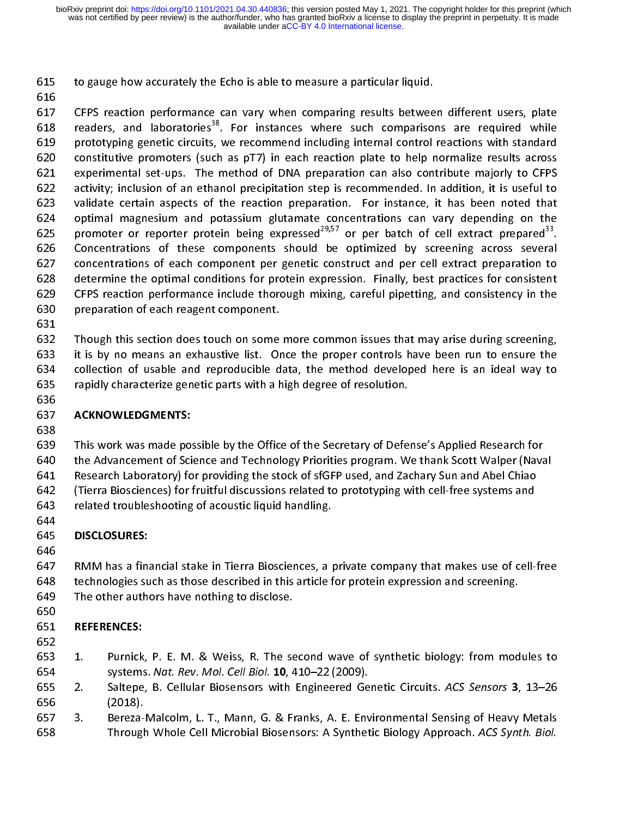to gauge how accurately the Echo is able to measure a particular liquid.<br>616<br>617 CFPS reaction performance can vary when comparing results between different users, plate<br>618 readers, and laboratories<sup>38</sup>. For instances whe 617<br>618<br>619 618 readers, and laboratories<sup>38</sup>. For instances where such comparisons are required while<br>619 prototyping genetic circuits, we recommend including internal control reactions with standard<br>620 constitutive promoters (such prototyping genetic circuits, we recommend including internal control reactions with standard<br>620 constitutive promoters (such as pT7) in each reaction plate to help normalize results across<br>621 experimental set-ups. The m 620 constitutive promoters (such as pT7) in each reaction plate to help normalize results across<br>621 experimental set-ups. The method of DNA preparation can also contribute majorly to CFPS<br>622 activity; inclusion of an eth 621 experimental set-ups. The method of DNA preparation can also contribute majorly to CFPS<br>622 activity; inclusion of an ethanol precipitation step is recommended. In addition, it is useful to<br>623 validate certain aspects 623 validate certain aspects of the reaction preparation. For instance, it has been noted that 624 contribute m<br>624 coptimal magnesium and potassium glutamate concentrations can vary depending on the 624 optimal magnesium and potassium glutamate concentrations can vary depending on the<br>625 promoter or reporter protein being expressed<sup>29,57</sup> or per batch of cell extract prepared<sup>33</sup>. 624 optimal magnesium and potassium glutamate concentrations can vary depending on the<br>625 promoter or reporter protein being expressed<sup>29,57</sup> or per batch of cell extract prepared<sup>33</sup>. 625 promoter or reporter protein being expressed<sup>29,57</sup> or per batch of cell extract prepared<sup>33</sup>.<br>626 Concentrations of these components should be optimized by screening across several 626 Concentrations of these components should be optimized by screening across several<br>627 concentrations of each component per genetic construct and per cell extract preparation to<br>628 determine the optimal conditions for 628 determine the optimal conditions for protein expression. Finally, best practices for consistent 629 CFPS reaction performance include thorough mixing careful pipetting and consistency in the 628 determine the optimal conditions for protein expression. Finally, best practices for consistent<br>629 CFPS reaction performance include thorough mixing, careful pipetting, and consistency in the 629 CFPS reaction performance include thorough mixing, careful pipetting, and consistency in the 630 preparation of each reagent component. 630 preparation of each reagent component.<br>631

632 Though this section does touch on some more common issues that may arise during screening,<br>633 it is by no means an exhaustive list. Once the proper controls have been run to ensure the 632<br>633<br>634 633 it is by no means an exhaustive list. Once the proper controls have been run to ensure the<br>634 Gollection of usable and reproducible data, the method developed here is an ideal way to  $634$  collection of usable and reproducible data, the method developed here is an ideal way to 635 rapidly characterize genetic parts with a high degree of resolution. 635 collection of usable and reproducible and reproducion.<br>636 collection of method developed here is an ideal way to me<br>637 collection MEDGMENTS:

## 111 rapidly characterize generic parts with a high degree of resolution.<br>636<br>637 ACKNOWLEDGMENTS: 637<br>638

639 This work was made possible by the Office of the Secretary of Defense's Applied Research for<br>640 the Advancement of Science and Technology Priorities program. We thank Scott Walper (Nava 639<br>640<br>641 640 the Advancement of Science and Technology Priorities program. We thank Scott Walper (Naval<br>641 Research Laboratory) for providing the stock of sfGFP used, and Zachary Sun and Abel Chiao<br>642 (Tierra Biosciences) for fru 641 Research Laboratory) for providing the stock of sfGFP used, and Zachary Sun and Abel Chiao<br>642 (Tierra Biosciences) for fruitful discussions related to prototyping with cell-free systems and<br>643 related troubleshooting 642 (Tierra Biosciences) for fruitful discussions related to prototyping with cell-free systems and<br>643 related troubleshooting of acoustic liquid handling.<br>644 643 – related troubleshooting of acoustic liquid handling.<br>644 –<br>645 – DISCLOSURES:

# $644$ <br>645 **DISCLOSURES:**

646

647 BMM has a financial stake in Tierra Biosciences, a private company that makes use of cell-free<br>648 Lechnologies such as those described in this article for protein expression and screening. 647<br>648<br>649 648 technologies such as those described in this article for protein expression and screening.<br>649 The other authors have nothing to disclose.<br>650

- 649 The other authors have nothing to disclose.<br>650<br>651 REFERENCES:
- 650 The other authors have not only to disclose the other have not of the other have not of the other have no<br>651 The other have not only to disclose the other have not only to disclose the other have not of the other ha<br>S
- 

652<br>653 651 REFERENCES:<br>652<br>653 1. Purnick 654<br>655 1. Purnick, P. E. M. & Weiss, R. The second wave of synthetic biology: from modules to<br>654 systems. *Nat. Rev. Mol. Cell Biol.* **10**, 410–22 (2009).<br>655 2. Saltepe, B. Cellular Biosensors with Engineered Genetic Circuits.

Systems. Nat. Rev. Mol. Cell Biol. 10, 410–22 (2009).<br>655 2. Saltepe, B. Cellular Biosensors with Engineered Ge<br>656 (2018).<br>657 3. Bereza-Malcolm, L. T., Mann, G. & Franks, A. E. Env<br>658 Through Whole Cell Microbial Biosen 656 2. Saltepe, B. Cellular Biosensors with Engineered Genetic Circuits. Acsosmons 3, 13–26<br>656 (2018).<br>657 3. Bereza-Malcolm, L. T., Mann, G. & Franks, A. E. Environmental Sensing of Heavy Metals<br>658 Through Whole Cell Mi 656 (2018). Frank College Malcolm, L. T., Mann, G. B. College, A. E. Environmental Sensing of Heavy Metals.<br>658 Through Whole Cell Microbial Biosensors: A Synthetic Biology Approach. ACS Synth. Biol. 658 Through Whole Cell Microbial Biosensors: A Synthetic Biology Approach. ACS Synth. Biol.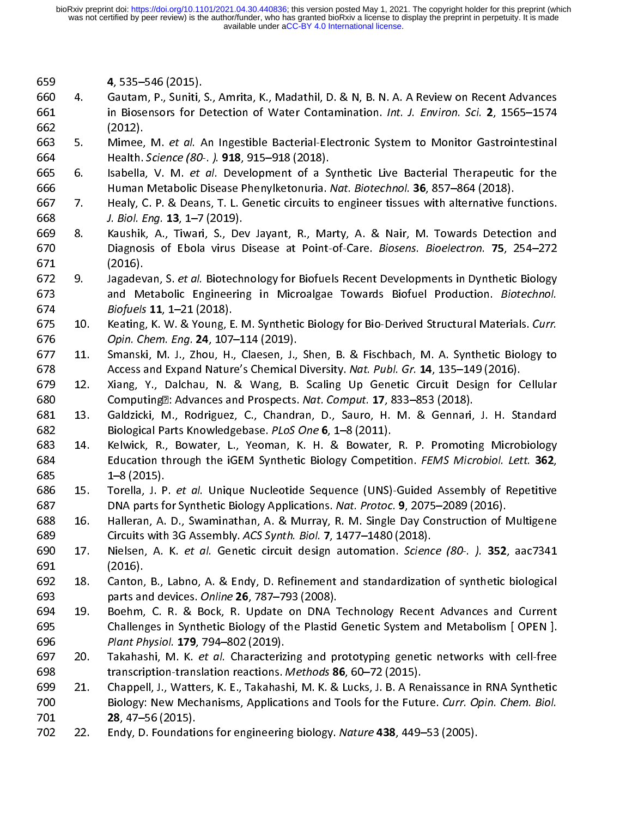- 
- 4, 535–546 (2015).<br>660 4. Gautam, P., Suniti, S., Amrita, K., Madathil, D. & N, B. N. A. A Review on Recent Advances<br>661 in Biosensors for Detection of Water Contamination. *Int. J. Environ. Sci.* **2**, 1565–1574<br>662 (2012) 661 in Biosensors for Detection of Water Contamination. *Int. J. Environ. Sci.* **2**, 1565–1574<br>662 (2012).<br>663 5. Mimee, M. *et al.* An Ingestible Bacterial-Electronic System to Monitor Gastrointestinal
- 663 5. Mimee, M. *et al.* An Ingestible Bacterial-Electronic System to Monitor Gastrointestinal<br>664 Health. *Science (80-. ).* 918, 915–918 (2018).<br>665 6. Isabella, V. M. *et al.* Development of a Sy
- 
- 7. Healy, C. P. & Deans, T. L. Genetic circuits to engineer tissues with alternative functions.<br>668 1. Biol. Eng. 13, 1–7 (2019).<br>669 8. Kaushik, A., Tiwari, S., Dev Jayant, R., Marty, A. & Nair, M. Towards Detection and<br>6
- 662 (2012).<br>
662 (2012).<br>
663 5. Mimee, M. et al. An Ingestible Bacterial-Electronic System to Monitor Gastrointestinal<br>
664 Health. Science (80-. ). **918**, 915–918 (2018).<br>
665 6. Isabella, V. M. et al. Development of a S Fraction 1912<br>
664 Health. Science (80-. ). **918**, 915–918 (2018).<br>
665 6. Isabella, V. M. et al. Development of a Synthetic Live Bacterial Therapeutic for the<br>
666 Human Metabolic Disease Phenylketonuria. *Nat. Biotechnol* 665 6. Isabella, V. M. *et al.* Development of a S<br>666 Human Metabolic Disease Phenylketonuria. 1<br>667 7. Healy, C. P. & Deans, T. L. Genetic circuits to<br>668 *J. Biol. Eng.* 13, 1–7 (2019).<br>669 8. Kaushik, A., Tiwari, S., D 670 10 Diagnosis of Ebola virus Disease at Point-of-Care. *Biosens. Bioelectron.* 75, 254–272<br>671 (2016).<br>672 9. Jagadevan, S. et al. Biotechnology for Biofuels Recent Developments in Dynthetic Biology
- For Human Metabolic Disease Phenylketonuria. *Nat. Biotechnol.* **36**, 857–864 (2018).<br>
Fealy, C. P. & Deans, T. L. Genetic circuits to engineer tissues with alternative functions.<br>
568 J. Biol. Eng. **13**, 1–7 (2019).<br>
669 Franchi Metabolic Disease Phenylketonuria. Nat. Biotechnol. 36, 857–864 (2016).<br>
667 7. Healy, C. P. & Deans, T. L. Genetic circuits to engineer tissues with alternative fu<br>
668 8. Kaushik, A., Tiwari, S., Dev Jayant, R., 8. S. Biol. Eng. 13, 1–7 (2015).<br>
669 8. Kaushik, A., Tiwari, S., De<br>
670 Diagnosis of Ebola virus I<br>
671 (2016).<br>
673 and Metabolic Engineerin<br>
674 *Biofuels* 11, 1–21 (2018).<br>
675 10. Keating, K. W. & Young, E. I<br>
676 *O* English of Ebola virus Disease at Folit of Care. Biosens. Bioececcion. 75, 254–272<br>
671 (2016).<br>
672 and Metabolic Engineering in Microalgae Towards Biofuel Production. *Biotechnol.*<br>
674 *Biofuels* **11**, 1–21 (2018).<br>
675 671 (2016). and Metabolic Engineering in Microalgae Towards Biofuel Production. *Biotechnol.*<br>
674 Biofuels **11**, 1–21 (2018).<br>
675 10. Keating, K. W. & Young, E. M. Synthetic Biology for Bio-Derived Structural Materials. Curr.<br>
676 0
- 
- 11. Smanski, M. J., Zhou, H., Claesen, J., Shen, B. & Fischbach, M. A. Synthetic Biology to<br>678 Cacess and Expand Nature's Chemical Diversity. Nat. Publ. Gr. 14, 135–149 (2016).<br>679 12. Xiang, Y., Dalchau, N. & Wang, B. Sc
- 674 Biofuels 11, 1–21 (2018).<br>
675 10. Keating, K. W. & Young, E. M. Synthetic Biology for Bio-Derived Structural Materials. Curr.<br>
676 Opin. Chem. Eng. 24, 107–114 (2019).<br>
677 11. Smanski, M. J., Zhou, H., Claesen, J., S ERREAF Biogres 11, 1–21 (2018).<br>
675 10. Keating, K. W. & Young, E<br>
676 Opin. Chem. Eng. 24, 107<br>
677 11. Smanski, M. J., Zhou, H.<br>
679 12. Xiang, Y., Dalchau, N.<br>
680 Computing E: Advances ar<br>
681 13. Galdzicki, M., Rodri
- 681 13. Galdzicki, M., Rodriguez, C., Chandran, D., Sauro, H. M. & Gennari, J. H. Standard<br>682 Biological Parts Knowledgebase. *PLoS One* 6, 1–8 (2011).
- Opin. Chem. Eng. 24, 107–114 (2019).<br>
677 11. Smanski, M. J., Zhou, H., Claesen, J., Shen, B. & Fischbach, M. A. Synthetic Biology to<br>
678 Access and Expand Nature's Chemical Diversity. Nat. Publ. Gr. 14, 135–149 (2016).<br> 677 11. Smanski, M. J., Zhou, H., Claesen, J., 678 Access and Expand Nature's Chemical<br>679 12. Xiang, Y., Dalchau, N. & Wang, B.<br>680 Computing 2: Advances and Prospects.<br>681 13. Galdzicki, M., Rodriguez, C., Chandr<br>682 Bio 679 12. Xiang, Y., Dalchau, N. & Wang, B. Scaling Up Genetic Circuit Design for C<br>680 Computing E: Advances and Prospects. *Nat. Comput.* 17, 833–853 (2018).<br>681 13. Galdzicki, M., Rodriguez, C., Chandran, D., Sauro, H. M. Computing H: Advances and Prospects. Nat. Comput. 17, 833–833 (2018).<br>
681 13. Galdzicki, M., Rodriguez, C., Chandran, D., Sauro, H. M. & Gennari,<br>
682 Biological Parts Knowledgebase. PLoS One 6, 1–8 (2011).<br>
683 14. Kelwi 683 14. Kelwick, R., Bowater, L., Yeoman, K. H. & Bowater, R. P. Promoting Microbiology<br>684 **Education through the iGEM Synthetic Biology Competition**. FEMS Microbiol. Lett. 362, 683 14. Kelwick, R., Bowater, L., Yeoman, K. H. & Bowater, Education through the iGEM Synthetic Biology Competi<br>684 Education through the iGEM Synthetic Biology Competi<br>685 1–8 (2015).<br>686 15. Torella, J. P. et al. Unique 683 14. Kelwick, R., Bowater, L., Yeoman, K. H. & Bowater, R. P. Promoting Microbiology
- Education through the iGEM Symmetre Biology Competition. FEMS Microbiol. Ect. 362,<br>
686 15. Torella, J. P. et al. Unique Nucleotide Sequence (UNS)-Guided Assembly of Repetitive<br>
687 DNA parts for Synthetic Biology Applicat 687 DNA parts for Synthetic Biology Applications. Nat. Protoc. 9, 2075–2089 (2016).<br>688 16. Halleran, A. D., Swaminathan, A. & Murray, R. M. Single Day Construction of Multigene
- 
- 689 Circuits with 3G Assembly. ACS Synth. Biol. 7, 1477–1480 (2018).<br>690 17. Nielsen, A. K. *et al.* Genetic circuit design automation. Science (80-. ). **352**, aac7341<br>691 (2016).
- 692 18. Canton, B., Labno, A. & Endy, D. Refinement and standardization of synthetic biological<br>693 parts and devices. *Online* 26, 787–793 (2008).<br>694 19. Boehm, C. R. & Bock, R. Update on DNA Technology Recent Advances a
- EXECT: DNA parts for Synthetic Biology Applications. *Nat. Protoc.* 9, 2075–2089 (2016).<br>
16. Halleran, A. D., Swaminathan, A. & Murray, R. M. Single Day Construction of Multigene<br>
Circuits with 3G Assembly. *ACS Synth. Bi* 688 16. Halleran, A. D., Swaminathan, A. & Murray, R. M. Single Day Construction of I<br>689 Circuits with 3G Assembly. ACS Synth. Biol. 7, 1477–1480 (2018).<br>690 17. Nielsen, A. K. et al. Genetic circuit design automation. Sc 689 Circuits with 3G Assembly. Acs Synth. Biol. 7, 1477–1480 (2016).<br>690 17. Nielsen, A. K. *et al.* Genetic circuit design automation. *Science*<br>691 (2016).<br>692 18. Canton, B., Labno, A. & Endy, D. Refinement and standard 691 17. Nielsen, A. K. et al. Genetic chedul design automation. Science (80:1): 352, aac7341<br>691 (2016).<br>692 18. Canton, B., Labno, A. & Endy, D. Refinement and standardization of synthetic biological<br>693 parts and devices 694 19. Boehm, C. R. & Bock, R. Update on DNA Technology Recent Advances and Current<br>695 Challenges in Synthetic Biology of the Plastid Genetic System and Metabolism [OPEN]. marcs and devices. Online 26, 787–793 (2008).<br>
694 19. Boehm, C. R. & Bock, R. Update on DNA 1<br>
Challenges in Synthetic Biology of the Plastid<br> *Plant Physiol.* 179, 794–802 (2019).<br>
20. Takahashi, M. K. *et al.* Character 695 19. Challenges in Synthetic Biology of the Plastid Genetic System and Metabolism [OPEN].<br>696 19. *Plant Physiol*. 179, 794–802 (2019).<br>697 20. Takahashi, M. K. *et al.* Characterizing and prototyping genetic networks w
- 697 20. Takahashi, M. K. et al. Characterizing and prototyping genetic networks with cell-free<br>698 transcription-translation reactions. Methods 86, 60–72 (2015).
- 697 20. Takahashi, M. K. *et al.* Characteriz<br>698 transcription-translation reactions.<br>699 21. Chappell, J., Watters, K. E., Takahash<br>700 Biology: New Mechanisms, Applicat<br>701 28, 47–56 (2015).<br>702 22. Endy, D. Foundations transcription-translation reactions. *Methods* **86**, 60–72 (2015).<br>
21. Chappell, J., Watters, K. E., Takahashi, M. K. & Lucks, J. B. A Renaissance in RNA Synthetic<br>
200 Biology: New Mechanisms, Applications and Tools for 208 transcription-translation-reactions. *Methods* 86, 60–72 (2015).<br>
699 21. Chappell, J., Watters, K. E., Takahashi, M. K. & Lucks, J. B. A Rei<br>
700 Biology: New Mechanisms, Applications and Tools for the Futu<br> **28**, 47– 21. Chappell, J., Watters, K. E., Takahashi, M. K. & Lucks, J. B. A Renaissance in RNA Synthetic<br>
700 Biology: New Mechanisms, Applications and Tools for the Future. Curr. Opin. Chem. Biol.<br>
702 22. Endy, D. Foundations fo 28, 47–56 (2015).<br>
28, 47–56 (2015).<br>
22. Endy, D. Foundations for engineering biology. Nature 438, 449–53 (2005).<br>
22. Endy, D. Foundations for engineering biology. Nature 438, 449–53 (2005).
- Endy, D. Foundations for engineering biology. Nature 438, 449-53 (2005). 702 22. Endy, D. Foundations for engineering biology. Nature 438, 449–53 (2005).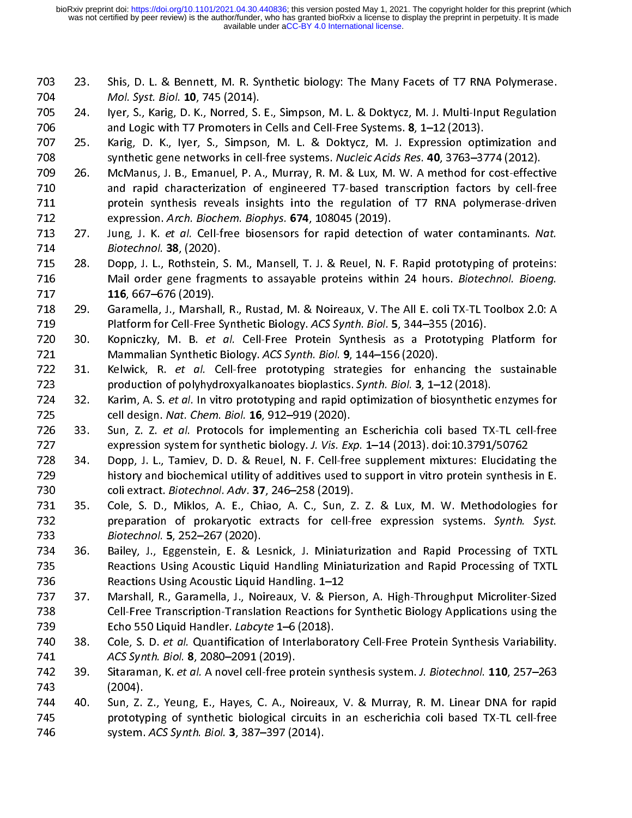- 23. Shis, D. L. & Bennett, M. R. Synthetic biology: The Many Facets of T7 RNA Polymerase.<br>704 Mol. Syst. Biol. 10, 745 (2014).<br>705 24. Iyer, S., Karig, D. K., Norred, S. E., Simpson, M. L. & Doktycz, M. J. Multi-Input Regu 23.
- 
- 706 25. Ium And Logic with T7 Promoters in Cells and Cell-Free Systems. 8, 1–12 (2013).<br>707 25. Karig, D. K., Iyer, S., Simpson, M. L. & Doktycz, M. J. Expression optimization and 706 and Logic with T7 Promoters in Cells and Cell-Free Systems. 8, 1–12 (2013).
- 705 24. Iyer, S., Karig, D. K., Norred, S.<br>706 and Logic with T7 Promoters in<br>707 25. Karig, D. K., Iyer, S., Simpsol<br>708 synthetic gene networks in cell<br>709 26. McManus, J. B., Emanuel, P. A<br>710 and rapid characterization 25. Karig, D. K., Iyer, S., Simpson, M. L. & Doktycz, M. J. Expression optimization and<br>708 synthetic gene networks in cell-free systems. Nucleic Acids Res. 40, 3763–3774 (2012).<br>709 26. McManus, J. B., Emanuel, P. A., Mur 398 39 Synthetic gene networks in cell-free systems. Nucleic Acids Res. 40, 3763–3774 (2012).<br>
709 26. McManus, J. B., Emanuel, P. A., Murray, R. M. & Lux, M. W. A method for cost-effect<br>
27 and rapid characterization of e 710 2010 26. Manus of Tanacterization of engineered T7-based transcription factors by cell-free<br>711 2015 2016 2017 2018 protein synthesis reveals insights into the regulation of T7 RNA polymerase-driven 2022 and rapid characterization of engineered transcription factors by contracterization<br>712 by expression. Arch. Biochem. Biophys. 674, 108045 (2019).
- protein synthesis reveals insights into the regulation of T7 RNA polymerase-driven<br>
712 expression. Arch. Biochem. Biophys. 674, 108045 (2019).<br>
713 27. Jung, J. K. et al. Cell-free biosensors for rapid detection of water
- 27. Jung, J. K. *et al.* Cell-free biosensors for rapid detection.<br>
713 27. Jung, J. K. *et al.* Cell-free biosensors for rapid detection.<br>
715 28. Dopp, J. L., Rothstein, S. M., Mansell, T. J. & Reuel, N. F<br>
716 Mail orde 2714 *Biotechnol.* **38**, (2020).<br>
28. Dopp, J. L., Rothstein, S. M., Mansell, T. J. & Reuel, N. F. Rapid prototyping of proteins:<br>
28. Dopp, J. L., Rothstein, S. M., Mansell, T. J. & Reuel, N. F. Rapid prototyping of prote 28. Dopp, J. L., Rothstein,<br>
715 28. Dopp, J. L., Rothstein,<br>
717 116, 667–676 (2019).<br>
718 29. Garamella, J., Marshall<br>
719 Platform for Cell-Free S<br>
720 30. Kopniczky, M. B. *et*<br>
721 Mammalian Synthetic E<br>
722 31. Kelwi 28. Dopp, J. L., Rothstein, S. M., Mansell, T. J. & Reuel, N. F. Rapid prototyping of proteins:<br>716 Mail order gene fragments to assayable proteins within 24 hours. *Biotechnol. Bioeng.*<br>717 116, 667–676 (2019).<br>718 29. Ga
- **116**  $667-676$  (2019).<br> **116**  $667-676$  (2019).<br> **218** 29. Garamella, J., Marshall, R., Rustad, M. & Noireaux, V. The All E. coli TX-TL Toolbox 2.0: A<br>
Platform for Cell-Free Synthetic Biology. ACS Synth. Biol. 5, 344-35 719 Platform for Cell-Free Synthetic Biology. ACS Synth. Biol. 5, 344–355 (2016).<br>720 30. Kopniczky, M. B. et al. Cell-Free Protein Synthesis as a Prototyping
- 720 30. Kopniczky, M. B. *et al.* Cell-Free Protein Synthesis as a Prototyping Platform for<br>721 Mammalian Synthetic Biology. ACS Synth. Biol. 9, 144–156 (2020).
- 
- 
- 720 30. Kopniczky, M. B. *et al.* Cell-Free Protein Synthesis as a Prototyping<br>721 Mammalian Synthetic Biology. ACS Synth. Biol. 9, 144–156 (2020).<br>722 31. Kelwick, R. *et al.* Cell-free prototyping strategies for enhancin
- 721 Mammalian Synthetic Biology. *ACS Synth. Biol.* **9**, 144–156 (2020).<br>
722 31. Kelwick, R. *et al.* Cell-free prototyping strategies for enhancing the sustainable<br>
723 production of polyhydroxyalkanoates bioplastics. S Mammalian Synthetic Biology. Acs Synth. Biol. 3, 144–156 (2020).<br>
722 31. Kelwick, R. *et al.* Cell-free prototyping strategies for enhal<br>
production of polyhydroxyalkanoates bioplastics. Synth. Biol. 3, 1–<br>
724 32. Karim, 9723 and track of polyhydroxyalkanoates bioplastics. Synth. Biol. 3, 1–12 (2018).<br>
724 32. Karim, A. S. et al. In vitro prototyping and rapid optimization of biosynthetic enzymes for<br>
725 cell design. Nat. Chem. Biol. 16, 223 production of polyhydroxyalkanoates bioplastics. Synth. Biol. 3, 1–12 (2016).<br>
224 32. Karim, A. S. et al. In vitro prototyping and rapid optimization of biosynthetic<br>
225 cell design. Nat. Chem. Biol. 16, 912–919 (202 228 34. Dopp, J. L., Tamiev, D. D. & Reuel, N. F. Cell-free supplement mixtures: Elucidating the<br>
729 history and biochemical utility of additives used to support in vitro protein synthesis in E.<br>
730 coli extract. *Biotec*
- 725 cell design. *Nat. Chem. Biol.* **16**, 912–919 (2020).<br>
726 33. Sun, Z. Z. *et al.* Protocols for implementing an Escherichia coli based TX-TL cell-free<br>
expression system for synthetic biology. *J. Vis. Exp.* 1–14 (201 225 centresign. Nat. Chem. Bloi. 16, 912–919 (2020).<br>
726 33. Sun, Z. Z. et al. Protocols for implementing and expression system for synthetic biology. J. Vis. Ex<br>
728 34. Dopp, J. L., Tamiev, D. D. & Reuel, N. F. Cell-fre 2727 expression system for synthetic biology. J. Vis. Exp. 1–14 (2013). doi:10.3791/50762<br>
2728 34. Dopp, J. L., Tamiev, D. D. & Reuel, N. F. Cell-free supplement mixtures: Elucidating the<br>
2729 history and biochemical uti 729 history and biochemical utility of additives used to support in vitro protein synthesis in E. 732 12 preparation of prokaryotic extracts for cell-free expression systems. Synth. Syst.<br>1988 15. Biotechnol. 5, 252–267 (2020).<br>1988 15. Bailey, J., Eggenstein, E. & Lesnick, J. Miniaturization and Rapid Processing of TX
- 728 34. Dopp, J. L., Tamiev, D. D. & Reuel, N. F. Cell-free supplement mixtures: Elucidatin<br>
729 history and biochemical utility of additives used to support in vitro protein synthesis<br>
730 coli extract. *Biotechnol. Adv.* 230 coli extract. *Biotechnol. Adv.* 37, 246–258 (2015).<br>
731 35. Cole, S. D., Miklos, A. E., Chiao, A. C., Sun, Z<br>
2732 preparation of prokaryotic extracts for cell-f<br> *Biotechnol.* 5, 252–267 (2020).<br>
734 36. Bailey, J., Figure 2022 preparation of preparation of preparation of Processing of TXTL<br>
733 Billey, J., Eggenstein, E. & Lesnick, J. Miniaturization and Rapid Processing of TXTL<br>
735 Reactions Using Acoustic Liquid Handling. 1–12<br>
73 733 Biotechnol. 3, 252–267 (2020).<br>
734 36. Bailey, J., Eggenstein, E. & Le<br>
735 Reactions Using Acoustic Liquid<br>
737 37. Marshall, R., Garamella, J., No<br>
738 Cell-Free Transcription-Translat<br>
739 Echo 550 Liquid Handler. 734 36. Bailey, J., Eggenstein, E. & Lesnick, J. Miniaturization and Rapid Processing of TXTL
- 736 Reactions Using Acoustic Liquid Handling. 1–12<br>737 37. Marshall, R., Garamella, J., Noireaux, V. & Pierson, A. High-Throughput Microliter-Sized 1986 - The Marshall, R., Garamella, J., Noireaux, V. & Pier<br>738 - Cell-Free Transcription-Translation Reactions fo 737 37. Marshall, R., Garamella, J., Noireaux, V. & Pierson, A. High-Throughput Microliter-Sized
- 738 Cell-Free Transcription-Translation Reactions for Synthetic Biology Applications using the
- 

740 38. Cole, S. D. *et al.* Quantification of Interlabora<br>
741 *ACS Synth. Biol.* **8**, 2080–2091 (2019).<br>
742 39. Sitaraman, K. *et al.* A novel cell-free protein sy<br>
743 (2004).<br>
744 40. Sun, Z. Z., Yeung, E., Hayes, C. 741 ACS Synth. Biol. 8, 2080–2091 (2019).<br>
742 39. Sitaraman, K. et al. A novel cell-free protein synthesis system. J. Biotechnol. 110, 257–263<br>
743 (2004).<br>
744 40. Sun, Z. Z., Yeung, E., Hayes, C. A., Noireaux, V. & Murr 742 39. Sitaraman, K. *et al.* A novel cell-free provided and the state of 2004).<br>
743 (2004).<br>
744 40. Sun, Z. Z., Yeung, E., Hayes, C. A., N<br>
745 prototyping of synthetic biological cites system. ACS Synth. Biol. 3, 387 742 39. Sitaraman, K. et al. A novel cen free protein synthesis system. J. Biotechnol. 110, 257–263<br>743 (2004).<br>744 40. Sun, Z. Z., Yeung, E., Hayes, C. A., Noireaux, V. & Murray, R. M. Linear DNA for rapid<br>745 prototyping (2004).<br>1944 – 40. Sun, Z. Z., Yeung, E., Hayes, C. A., Noireaux, V. & Murray, R. M. Linear DNA for rapid<br>1955 – Trototyping of synthetic biological circuits in an escherichia coli based TX-TL cell-free<br>1966 – System. A*CS* prototyping of synthetic biological circuits in an escherichia coli based TX-TL cell-free system. ACS Synth. Biol. 3, 387-397 (2014). 746 system. ACS Synth. Biol. 3, 387–397 (2014).